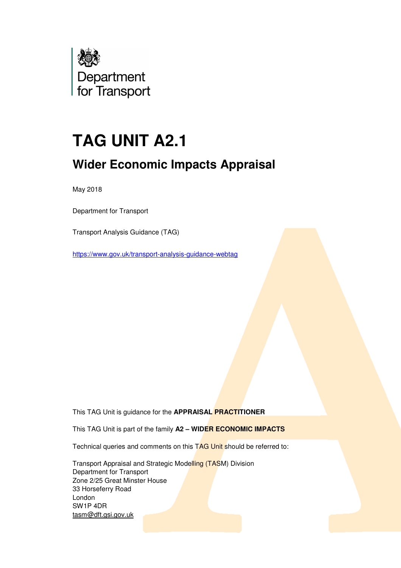

# **TAG UNIT A2.1**

# **Wider Economic Impacts Appraisal**

May 2018

Department for Transport

Transport Analysis Guidance (TAG)

https://www.gov.uk/transport-analysis-guidance-webtag

This TAG Unit is guidance for the **APPRAISAL PRACTITIONER**

This TAG Unit is part of the family **A2 – WIDER ECONOMIC IMPACTS**

Technical queries and comments on this TAG Unit should be referred to:

 Transport Appraisal and Strategic Modelling (TASM) Division Department for Transport Zone 2/25 Great Minster House 33 Horseferry Road London SW1P 4DR tasm@dft.gsi.gov.uk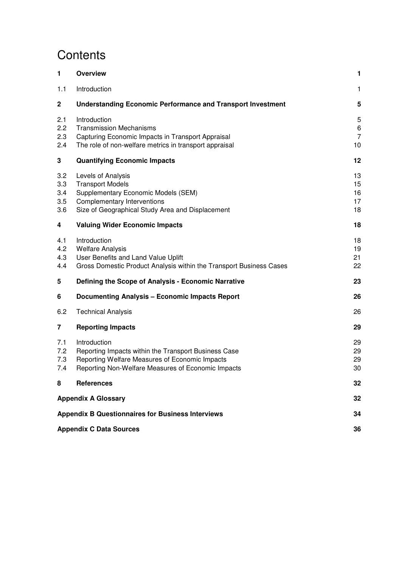# **Contents**

| 1                               | <b>Overview</b>                                                                                                                                                              | 1                              |  |  |  |  |
|---------------------------------|------------------------------------------------------------------------------------------------------------------------------------------------------------------------------|--------------------------------|--|--|--|--|
| 1.1                             | Introduction                                                                                                                                                                 | $\mathbf{1}$                   |  |  |  |  |
| $\mathbf 2$                     | <b>Understanding Economic Performance and Transport Investment</b>                                                                                                           | 5                              |  |  |  |  |
| 2.1<br>2.2<br>2.3<br>2.4        | Introduction<br><b>Transmission Mechanisms</b><br>Capturing Economic Impacts in Transport Appraisal<br>The role of non-welfare metrics in transport appraisal                | 5<br>6<br>$\overline{7}$<br>10 |  |  |  |  |
| 3                               | <b>Quantifying Economic Impacts</b>                                                                                                                                          | 12                             |  |  |  |  |
| 3.2<br>3.3<br>3.4<br>3.5<br>3.6 | Levels of Analysis<br><b>Transport Models</b><br>Supplementary Economic Models (SEM)<br>Complementary Interventions<br>Size of Geographical Study Area and Displacement      | 13<br>15<br>16<br>17<br>18     |  |  |  |  |
| 4                               | <b>Valuing Wider Economic Impacts</b>                                                                                                                                        | 18                             |  |  |  |  |
| 4.1<br>4.2<br>4.3<br>4.4        | Introduction<br><b>Welfare Analysis</b><br>User Benefits and Land Value Uplift<br>Gross Domestic Product Analysis within the Transport Business Cases                        | 18<br>19<br>21<br>22           |  |  |  |  |
| 5                               | Defining the Scope of Analysis - Economic Narrative                                                                                                                          | 23                             |  |  |  |  |
| 6                               | <b>Documenting Analysis - Economic Impacts Report</b>                                                                                                                        | 26                             |  |  |  |  |
| 6.2                             | <b>Technical Analysis</b>                                                                                                                                                    | 26                             |  |  |  |  |
| 7                               | <b>Reporting Impacts</b>                                                                                                                                                     | 29                             |  |  |  |  |
| 7.1<br>7.2<br>7.3<br>7.4        | Introduction<br>Reporting Impacts within the Transport Business Case<br>Reporting Welfare Measures of Economic Impacts<br>Reporting Non-Welfare Measures of Economic Impacts | 29<br>29<br>29<br>30           |  |  |  |  |
| 8                               | <b>References</b>                                                                                                                                                            | 32                             |  |  |  |  |
|                                 | <b>Appendix A Glossary</b>                                                                                                                                                   | 32                             |  |  |  |  |
|                                 | <b>Appendix B Questionnaires for Business Interviews</b>                                                                                                                     | 34                             |  |  |  |  |
|                                 | <b>Appendix C Data Sources</b>                                                                                                                                               |                                |  |  |  |  |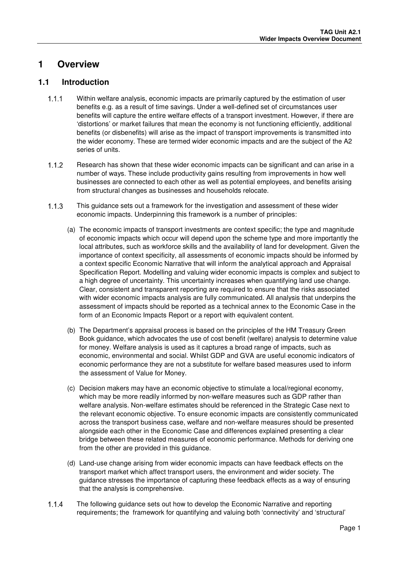### **1 Overview**

#### **1.1 Introduction**

- Within welfare analysis, economic impacts are primarily captured by the estimation of user benefits e.g. as a result of time savings. Under a well-defined set of circumstances user benefits will capture the entire welfare effects of a transport investment. However, if there are 'distortions' or market failures that mean the economy is not functioning efficiently, additional benefits (or disbenefits) will arise as the impact of transport improvements is transmitted into the wider economy. These are termed wider economic impacts and are the subject of the A2 series of units.
- 1.1.2 Besearch has shown that these wider economic impacts can be significant and can arise in a number of ways. These include productivity gains resulting from improvements in how well businesses are connected to each other as well as potential employees, and benefits arising from structural changes as businesses and households relocate.
- This guidance sets out a framework for the investigation and assessment of these wider economic impacts. Underpinning this framework is a number of principles:
	- (a) The economic impacts of transport investments are context specific; the type and magnitude of economic impacts which occur will depend upon the scheme type and more importantly the local attributes, such as workforce skills and the availability of land for development. Given the importance of context specificity, all assessments of economic impacts should be informed by a context specific Economic Narrative that will inform the analytical approach and Appraisal Specification Report. Modelling and valuing wider economic impacts is complex and subject to a high degree of uncertainty. This uncertainty increases when quantifying land use change. Clear, consistent and transparent reporting are required to ensure that the risks associated with wider economic impacts analysis are fully communicated. All analysis that underpins the assessment of impacts should be reported as a technical annex to the Economic Case in the form of an Economic Impacts Report or a report with equivalent content.
	- (b) The Department's appraisal process is based on the principles of the HM Treasury Green Book guidance, which advocates the use of cost benefit (welfare) analysis to determine value for money. Welfare analysis is used as it captures a broad range of impacts, such as economic, environmental and social. Whilst GDP and GVA are useful economic indicators of economic performance they are not a substitute for welfare based measures used to inform the assessment of Value for Money.
	- (c) Decision makers may have an economic objective to stimulate a local/regional economy, which may be more readily informed by non-welfare measures such as GDP rather than welfare analysis. Non-welfare estimates should be referenced in the Strategic Case next to the relevant economic objective. To ensure economic impacts are consistently communicated across the transport business case, welfare and non-welfare measures should be presented alongside each other in the Economic Case and differences explained presenting a clear bridge between these related measures of economic performance. Methods for deriving one from the other are provided in this guidance.
	- (d) Land-use change arising from wider economic impacts can have feedback effects on the transport market which affect transport users, the environment and wider society. The guidance stresses the importance of capturing these feedback effects as a way of ensuring that the analysis is comprehensive.
- The following guidance sets out how to develop the Economic Narrative and reporting requirements; the framework for quantifying and valuing both 'connectivity' and 'structural'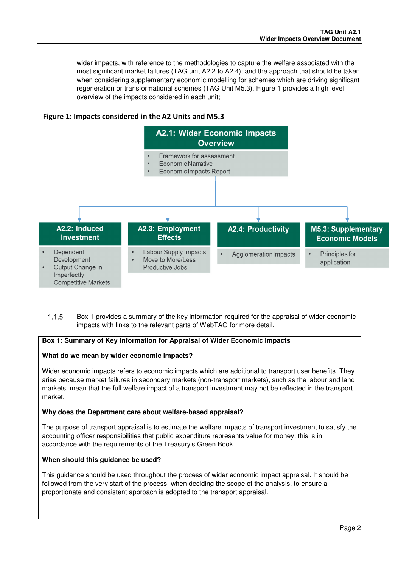wider impacts, with reference to the methodologies to capture the welfare associated with the most significant market failures (TAG unit A2.2 to A2.4); and the approach that should be taken when considering supplementary economic modelling for schemes which are driving significant regeneration or transformational schemes (TAG Unit M5.3). Figure 1 provides a high level overview of the impacts considered in each unit;

#### **Figure 1: Impacts considered in the A2 Units and M5.3**



 Box 1 provides a summary of the key information required for the appraisal of wider economic impacts with links to the relevant parts of WebTAG for more detail.

#### **Box 1: Summary of Key Information for Appraisal of Wider Economic Impacts**

#### **What do we mean by wider economic impacts?**

Wider economic impacts refers to economic impacts which are additional to transport user benefits. They arise because market failures in secondary markets (non-transport markets), such as the labour and land markets, mean that the full welfare impact of a transport investment may not be reflected in the transport market.

#### **Why does the Department care about welfare-based appraisal?**

The purpose of transport appraisal is to estimate the welfare impacts of transport investment to satisfy the accounting officer responsibilities that public expenditure represents value for money; this is in accordance with the requirements of the Treasury's Green Book.

#### **When should this guidance be used?**

This guidance should be used throughout the process of wider economic impact appraisal. It should be followed from the very start of the process, when deciding the scope of the analysis, to ensure a proportionate and consistent approach is adopted to the transport appraisal.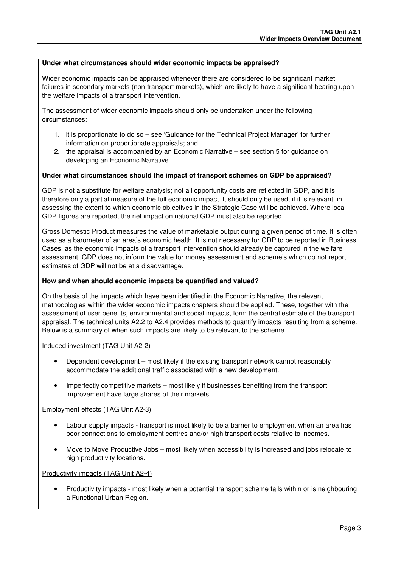#### **Under what circumstances should wider economic impacts be appraised?**

Wider economic impacts can be appraised whenever there are considered to be significant market failures in secondary markets (non-transport markets), which are likely to have a significant bearing upon the welfare impacts of a transport intervention.

The assessment of wider economic impacts should only be undertaken under the following circumstances:

- 1. it is proportionate to do so see 'Guidance for the Technical Project Manager' for further information on proportionate appraisals; and
- 2. the appraisal is accompanied by an Economic Narrative see section 5 for guidance on developing an Economic Narrative.

#### **Under what circumstances should the impact of transport schemes on GDP be appraised?**

GDP is not a substitute for welfare analysis; not all opportunity costs are reflected in GDP, and it is therefore only a partial measure of the full economic impact. It should only be used, if it is relevant, in assessing the extent to which economic objectives in the Strategic Case will be achieved. Where local GDP figures are reported, the net impact on national GDP must also be reported.

Gross Domestic Product measures the value of marketable output during a given period of time. It is often used as a barometer of an area's economic health. It is not necessary for GDP to be reported in Business Cases, as the economic impacts of a transport intervention should already be captured in the welfare assessment. GDP does not inform the value for money assessment and scheme's which do not report estimates of GDP will not be at a disadvantage.

#### **How and when should economic impacts be quantified and valued?**

On the basis of the impacts which have been identified in the Economic Narrative, the relevant methodologies within the wider economic impacts chapters should be applied. These, together with the assessment of user benefits, environmental and social impacts, form the central estimate of the transport appraisal. The technical units A2.2 to A2.4 provides methods to quantify impacts resulting from a scheme. Below is a summary of when such impacts are likely to be relevant to the scheme.

Induced investment (TAG Unit A2-2)

- Dependent development most likely if the existing transport network cannot reasonably accommodate the additional traffic associated with a new development.
- Imperfectly competitive markets most likely if businesses benefiting from the transport improvement have large shares of their markets.

Employment effects (TAG Unit A2-3)

- Labour supply impacts transport is most likely to be a barrier to employment when an area has poor connections to employment centres and/or high transport costs relative to incomes.
- Move to Move Productive Jobs most likely when accessibility is increased and jobs relocate to high productivity locations.

Productivity impacts (TAG Unit A2-4)

• Productivity impacts - most likely when a potential transport scheme falls within or is neighbouring a Functional Urban Region.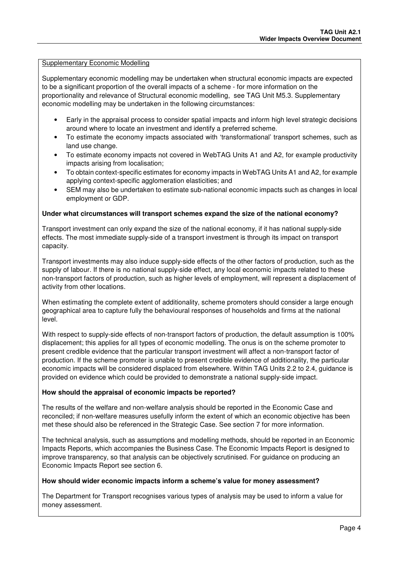#### Supplementary Economic Modelling

Supplementary economic modelling may be undertaken when structural economic impacts are expected to be a significant proportion of the overall impacts of a scheme - for more information on the proportionality and relevance of Structural economic modelling, see TAG Unit M5.3. Supplementary economic modelling may be undertaken in the following circumstances:

- Early in the appraisal process to consider spatial impacts and inform high level strategic decisions around where to locate an investment and identify a preferred scheme.
- To estimate the economy impacts associated with 'transformational' transport schemes, such as land use change.
- To estimate economy impacts not covered in WebTAG Units A1 and A2, for example productivity impacts arising from localisation;
- To obtain context-specific estimates for economy impacts in WebTAG Units A1 and A2, for example applying context-specific agglomeration elasticities; and
- SEM may also be undertaken to estimate sub-national economic impacts such as changes in local employment or GDP.

#### **Under what circumstances will transport schemes expand the size of the national economy?**

Transport investment can only expand the size of the national economy, if it has national supply-side effects. The most immediate supply-side of a transport investment is through its impact on transport capacity.

Transport investments may also induce supply-side effects of the other factors of production, such as the supply of labour. If there is no national supply-side effect, any local economic impacts related to these non-transport factors of production, such as higher levels of employment, will represent a displacement of activity from other locations.

When estimating the complete extent of additionality, scheme promoters should consider a large enough geographical area to capture fully the behavioural responses of households and firms at the national level.

With respect to supply-side effects of non-transport factors of production, the default assumption is 100% displacement; this applies for all types of economic modelling. The onus is on the scheme promoter to present credible evidence that the particular transport investment will affect a non-transport factor of production. If the scheme promoter is unable to present credible evidence of additionality, the particular economic impacts will be considered displaced from elsewhere. Within TAG Units 2.2 to 2.4, guidance is provided on evidence which could be provided to demonstrate a national supply-side impact.

#### **How should the appraisal of economic impacts be reported?**

The results of the welfare and non-welfare analysis should be reported in the Economic Case and reconciled; if non-welfare measures usefully inform the extent of which an economic objective has been met these should also be referenced in the Strategic Case. See section 7 for more information.

The technical analysis, such as assumptions and modelling methods, should be reported in an Economic Impacts Reports, which accompanies the Business Case. The Economic Impacts Report is designed to improve transparency, so that analysis can be objectively scrutinised. For guidance on producing an Economic Impacts Report see section 6.

#### **How should wider economic impacts inform a scheme's value for money assessment?**

The Department for Transport recognises various types of analysis may be used to inform a value for money assessment.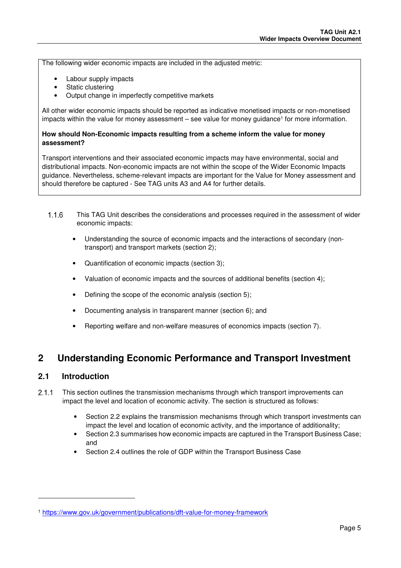The following wider economic impacts are included in the adjusted metric:

- Labour supply impacts
- Static clustering
- Output change in imperfectly competitive markets

All other wider economic impacts should be reported as indicative monetised impacts or non-monetised impacts within the value for money assessment – see value for money guidance<sup>1</sup> for more information.

#### **How should Non-Economic impacts resulting from a scheme inform the value for money assessment?**

Transport interventions and their associated economic impacts may have environmental, social and distributional impacts. Non-economic impacts are not within the scope of the Wider Economic Impacts guidance. Nevertheless, scheme-relevant impacts are important for the Value for Money assessment and should therefore be captured - See TAG units A3 and A4 for further details.

- This TAG Unit describes the considerations and processes required in the assessment of wider economic impacts:
	- Understanding the source of economic impacts and the interactions of secondary (nontransport) and transport markets (section 2);
	- Quantification of economic impacts (section 3);
	- Valuation of economic impacts and the sources of additional benefits (section 4);
	- Defining the scope of the economic analysis (section 5);
	- Documenting analysis in transparent manner (section 6); and
	- Reporting welfare and non-welfare measures of economics impacts (section 7).

### **2 Understanding Economic Performance and Transport Investment**

#### **2.1 Introduction**

l

- 2.1.1 This section outlines the transmission mechanisms through which transport improvements can impact the level and location of economic activity. The section is structured as follows:
	- Section 2.2 explains the transmission mechanisms through which transport investments can impact the level and location of economic activity, and the importance of additionality;
	- Section 2.3 summarises how economic impacts are captured in the Transport Business Case; and
	- Section 2.4 outlines the role of GDP within the Transport Business Case

<sup>1</sup> https://www.gov.uk/government/publications/dft-value-for-money-framework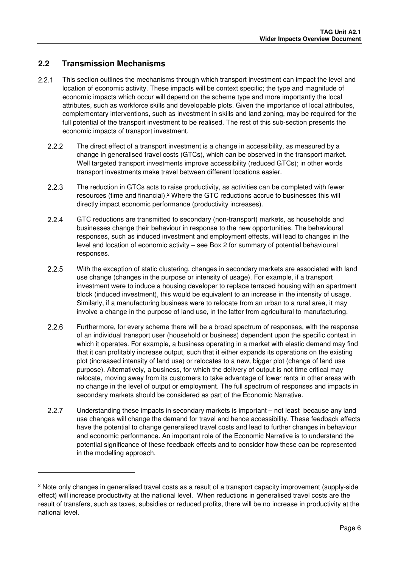### **2.2 Transmission Mechanisms**

-

- 2.2.1 This section outlines the mechanisms through which transport investment can impact the level and location of economic activity. These impacts will be context specific; the type and magnitude of economic impacts which occur will depend on the scheme type and more importantly the local attributes, such as workforce skills and developable plots. Given the importance of local attributes, complementary interventions, such as investment in skills and land zoning, may be required for the full potential of the transport investment to be realised. The rest of this sub-section presents the economic impacts of transport investment.
	- 2.2.2 The direct effect of a transport investment is a change in accessibility, as measured by a change in generalised travel costs (GTCs), which can be observed in the transport market. Well targeted transport investments improve accessibility (reduced GTCs); in other words transport investments make travel between different locations easier.
	- 2.2.3 The reduction in GTCs acts to raise productivity, as activities can be completed with fewer resources (time and financial).<sup>2</sup> Where the GTC reductions accrue to businesses this will directly impact economic performance (productivity increases).
	- GTC reductions are transmitted to secondary (non-transport) markets, as households and businesses change their behaviour in response to the new opportunities. The behavioural responses, such as induced investment and employment effects, will lead to changes in the level and location of economic activity – see Box 2 for summary of potential behavioural responses.
	- 2.2.5 With the exception of static clustering, changes in secondary markets are associated with land use change (changes in the purpose or intensity of usage). For example, if a transport investment were to induce a housing developer to replace terraced housing with an apartment block (induced investment), this would be equivalent to an increase in the intensity of usage. Similarly, if a manufacturing business were to relocate from an urban to a rural area, it may involve a change in the purpose of land use, in the latter from agricultural to manufacturing.
	- Furthermore, for every scheme there will be a broad spectrum of responses, with the response of an individual transport user (household or business) dependent upon the specific context in which it operates. For example, a business operating in a market with elastic demand may find that it can profitably increase output, such that it either expands its operations on the existing plot (increased intensity of land use) or relocates to a new, bigger plot (change of land use purpose). Alternatively, a business, for which the delivery of output is not time critical may relocate, moving away from its customers to take advantage of lower rents in other areas with no change in the level of output or employment. The full spectrum of responses and impacts in secondary markets should be considered as part of the Economic Narrative.
	- Understanding these impacts in secondary markets is important not least because any land use changes will change the demand for travel and hence accessibility. These feedback effects have the potential to change generalised travel costs and lead to further changes in behaviour and economic performance. An important role of the Economic Narrative is to understand the potential significance of these feedback effects and to consider how these can be represented in the modelling approach.

<sup>2</sup> Note only changes in generalised travel costs as a result of a transport capacity improvement (supply-side effect) will increase productivity at the national level. When reductions in generalised travel costs are the result of transfers, such as taxes, subsidies or reduced profits, there will be no increase in productivity at the national level.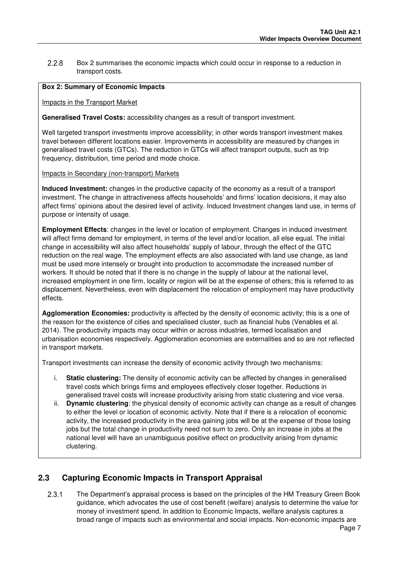Box 2 summarises the economic impacts which could occur in response to a reduction in transport costs.

#### **Box 2: Summary of Economic Impacts**

Impacts in the Transport Market

**Generalised Travel Costs:** accessibility changes as a result of transport investment.

Well targeted transport investments improve accessibility; in other words transport investment makes travel between different locations easier. Improvements in accessibility are measured by changes in generalised travel costs (GTCs). The reduction in GTCs will affect transport outputs, such as trip frequency, distribution, time period and mode choice.

Impacts in Secondary (non-transport) Markets

**Induced Investment:** changes in the productive capacity of the economy as a result of a transport investment. The change in attractiveness affects households' and firms' location decisions, it may also affect firms' opinions about the desired level of activity. Induced Investment changes land use, in terms of purpose or intensity of usage.

**Employment Effects**: changes in the level or location of employment. Changes in induced investment will affect firms demand for employment, in terms of the level and/or location, all else equal. The initial change in accessibility will also affect households' supply of labour, through the effect of the GTC reduction on the real wage. The employment effects are also associated with land use change, as land must be used more intensely or brought into production to accommodate the increased number of workers. It should be noted that if there is no change in the supply of labour at the national level, increased employment in one firm, locality or region will be at the expense of others; this is referred to as displacement. Nevertheless, even with displacement the relocation of employment may have productivity effects.

**Agglomeration Economies:** productivity is affected by the density of economic activity; this is a one of the reason for the existence of cities and specialised cluster, such as financial hubs (Venables et al. 2014). The productivity impacts may occur within or across industries, termed localisation and urbanisation economies respectively. Agglomeration economies are externalities and so are not reflected in transport markets.

Transport investments can increase the density of economic activity through two mechanisms:

- i. **Static clustering:** The density of economic activity can be affected by changes in generalised travel costs which brings firms and employees effectively closer together. Reductions in generalised travel costs will increase productivity arising from static clustering and vice versa.
- ii. **Dynamic clustering**: the physical density of economic activity can change as a result of changes to either the level or location of economic activity. Note that if there is a relocation of economic activity, the increased productivity in the area gaining jobs will be at the expense of those losing jobs but the total change in productivity need not sum to zero. Only an increase in jobs at the national level will have an unambiguous positive effect on productivity arising from dynamic clustering.

### **2.3 Capturing Economic Impacts in Transport Appraisal**

2.3.1 The Department's appraisal process is based on the principles of the HM Treasury Green Book guidance, which advocates the use of cost benefit (welfare) analysis to determine the value for money of investment spend. In addition to Economic Impacts, welfare analysis captures a broad range of impacts such as environmental and social impacts. Non-economic impacts are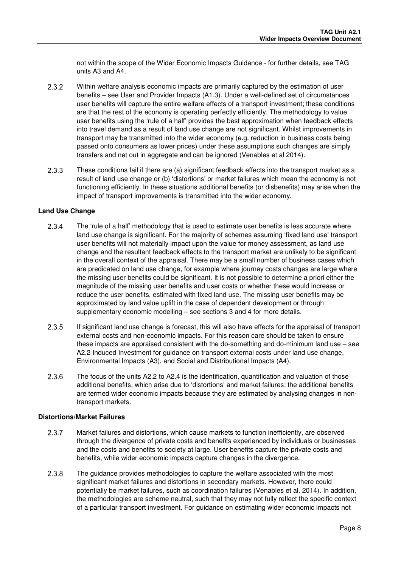not within the scope of the Wider Economic Impacts Guidance - for further details, see TAG units A3 and A4.

- 2.3.2 Within welfare analysis economic impacts are primarily captured by the estimation of user benefits – see User and Provider Impacts (A1.3). Under a well-defined set of circumstances user benefits will capture the entire welfare effects of a transport investment; these conditions are that the rest of the economy is operating perfectly efficiently. The methodology to value user benefits using the 'rule of a half' provides the best approximation when feedback effects into travel demand as a result of land use change are not significant. Whilst improvements in transport may be transmitted into the wider economy (e.g. reduction in business costs being passed onto consumers as lower prices) under these assumptions such changes are simply transfers and net out in aggregate and can be ignored (Venables et al 2014).
- 2.3.3 These conditions fail if there are (a) significant feedback effects into the transport market as a result of land use change or (b) 'distortions' or market failures which mean the economy is not functioning efficiently. In these situations additional benefits (or disbenefits) may arise when the impact of transport improvements is transmitted into the wider economy.

#### **Land Use Change**

- 2.3.4 The 'rule of a half' methodology that is used to estimate user benefits is less accurate where land use change is significant. For the majority of schemes assuming 'fixed land use' transport user benefits will not materially impact upon the value for money assessment, as land use change and the resultant feedback effects to the transport market are unlikely to be significant in the overall context of the appraisal. There may be a small number of business cases which are predicated on land use change, for example where journey costs changes are large where the missing user benefits could be significant. It is not possible to determine a priori either the magnitude of the missing user benefits and user costs or whether these would increase or reduce the user benefits, estimated with fixed land use. The missing user benefits may be approximated by land value uplift in the case of dependent development or through supplementary economic modelling – see sections 3 and 4 for more details.
- If significant land use change is forecast, this will also have effects for the appraisal of transport external costs and non-economic impacts. For this reason care should be taken to ensure these impacts are appraised consistent with the do-something and do-minimum land use – see A2.2 Induced Investment for guidance on transport external costs under land use change, Environmental Impacts (A3), and Social and Distributional Impacts (A4).
- 2.3.6 The focus of the units A2.2 to A2.4 is the identification, quantification and valuation of those additional benefits, which arise due to 'distortions' and market failures: the additional benefits are termed wider economic impacts because they are estimated by analysing changes in nontransport markets.

#### **Distortions/Market Failures**

- 2.3.7 Market failures and distortions, which cause markets to function inefficiently, are observed through the divergence of private costs and benefits experienced by individuals or businesses and the costs and benefits to society at large. User benefits capture the private costs and benefits, while wider economic impacts capture changes in the divergence.
- 2.3.8 The guidance provides methodologies to capture the welfare associated with the most significant market failures and distortions in secondary markets. However, there could potentially be market failures, such as coordination failures (Venables et al. 2014). In addition, the methodologies are scheme neutral, such that they may not fully reflect the specific context of a particular transport investment. For guidance on estimating wider economic impacts not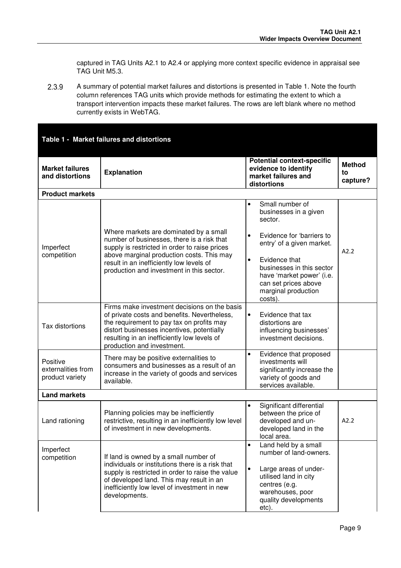captured in TAG Units A2.1 to A2.4 or applying more context specific evidence in appraisal see TAG Unit M5.3.

 A summary of potential market failures and distortions is presented in Table 1. Note the fourth column references TAG units which provide methods for estimating the extent to which a transport intervention impacts these market failures. The rows are left blank where no method currently exists in WebTAG.

### **Table 1 - Market failures and distortions**

| <b>Market failures</b><br>and distortions         | <b>Explanation</b>                                                                                                                                                                                                                                                   | <b>Potential context-specific</b><br>evidence to identify<br>market failures and<br>distortions                                                                                                  | <b>Method</b><br>to<br>capture? |  |  |  |
|---------------------------------------------------|----------------------------------------------------------------------------------------------------------------------------------------------------------------------------------------------------------------------------------------------------------------------|--------------------------------------------------------------------------------------------------------------------------------------------------------------------------------------------------|---------------------------------|--|--|--|
| <b>Product markets</b>                            |                                                                                                                                                                                                                                                                      |                                                                                                                                                                                                  |                                 |  |  |  |
|                                                   | Where markets are dominated by a small<br>number of businesses, there is a risk that                                                                                                                                                                                 | Small number of<br>$\bullet$<br>businesses in a given<br>sector.<br>Evidence for 'barriers to<br>$\bullet$                                                                                       |                                 |  |  |  |
| Imperfect<br>competition                          | supply is restricted in order to raise prices<br>above marginal production costs. This may<br>result in an inefficiently low levels of<br>production and investment in this sector.                                                                                  | entry' of a given market.<br>$\bullet$<br>Evidence that<br>businesses in this sector<br>have 'market power' (i.e.<br>can set prices above<br>marginal production<br>costs).                      | A2.2                            |  |  |  |
| Tax distortions                                   | Firms make investment decisions on the basis<br>of private costs and benefits. Nevertheless,<br>the requirement to pay tax on profits may<br>distort businesses incentives, potentially<br>resulting in an inefficiently low levels of<br>production and investment. | Evidence that tax<br>$\bullet$<br>distortions are<br>influencing businesses'<br>investment decisions.                                                                                            |                                 |  |  |  |
| Positive<br>externalities from<br>product variety | There may be positive externalities to<br>consumers and businesses as a result of an<br>increase in the variety of goods and services<br>available.                                                                                                                  | Evidence that proposed<br>$\bullet$<br>investments will<br>significantly increase the<br>variety of goods and<br>services available.                                                             |                                 |  |  |  |
| <b>Land markets</b>                               |                                                                                                                                                                                                                                                                      |                                                                                                                                                                                                  |                                 |  |  |  |
| Land rationing                                    | Planning policies may be inefficiently<br>restrictive, resulting in an inefficiently low level<br>of investment in new developments.                                                                                                                                 | Significant differential<br>$\bullet$<br>between the price of<br>developed and un-<br>developed land in the<br>local area.                                                                       | A2.2                            |  |  |  |
| Imperfect<br>competition                          | If land is owned by a small number of<br>individuals or institutions there is a risk that<br>supply is restricted in order to raise the value<br>of developed land. This may result in an<br>inefficiently low level of investment in new<br>developments.           | Land held by a small<br>$\bullet$<br>number of land-owners.<br>$\bullet$<br>Large areas of under-<br>utilised land in city<br>centres (e.g.<br>warehouses, poor<br>quality developments<br>etc). |                                 |  |  |  |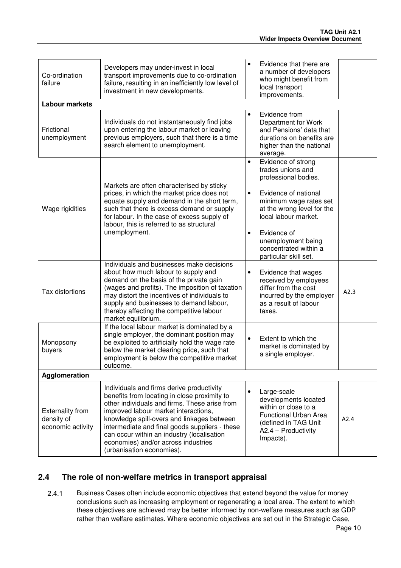| Co-ordination<br>failure                                   | Developers may under-invest in local<br>transport improvements due to co-ordination<br>failure, resulting in an inefficiently low level of<br>investment in new developments.                                                                                                                                                                                                                        |                                     | Evidence that there are<br>a number of developers<br>who might benefit from<br>local transport<br>improvements.                                                                                                                                                |      |  |  |  |  |  |  |  |  |
|------------------------------------------------------------|------------------------------------------------------------------------------------------------------------------------------------------------------------------------------------------------------------------------------------------------------------------------------------------------------------------------------------------------------------------------------------------------------|-------------------------------------|----------------------------------------------------------------------------------------------------------------------------------------------------------------------------------------------------------------------------------------------------------------|------|--|--|--|--|--|--|--|--|
| <b>Labour markets</b>                                      |                                                                                                                                                                                                                                                                                                                                                                                                      |                                     |                                                                                                                                                                                                                                                                |      |  |  |  |  |  |  |  |  |
| Frictional<br>unemployment                                 | Individuals do not instantaneously find jobs<br>upon entering the labour market or leaving<br>previous employers, such that there is a time<br>search element to unemployment.                                                                                                                                                                                                                       | $\bullet$                           | Evidence from<br>Department for Work<br>and Pensions' data that<br>durations on benefits are<br>higher than the national<br>average.                                                                                                                           |      |  |  |  |  |  |  |  |  |
| Wage rigidities                                            | Markets are often characterised by sticky<br>prices, in which the market price does not<br>equate supply and demand in the short term,<br>such that there is excess demand or supply<br>for labour. In the case of excess supply of<br>labour, this is referred to as structural<br>unemployment.                                                                                                    | $\bullet$<br>$\bullet$<br>$\bullet$ | Evidence of strong<br>trades unions and<br>professional bodies.<br>Evidence of national<br>minimum wage rates set<br>at the wrong level for the<br>local labour market.<br>Evidence of<br>unemployment being<br>concentrated within a<br>particular skill set. |      |  |  |  |  |  |  |  |  |
| Tax distortions                                            | Individuals and businesses make decisions<br>about how much labour to supply and<br>demand on the basis of the private gain<br>(wages and profits). The imposition of taxation<br>may distort the incentives of individuals to<br>supply and businesses to demand labour,<br>thereby affecting the competitive labour<br>market equilibrium.                                                         | $\bullet$                           | Evidence that wages<br>received by employees<br>differ from the cost<br>incurred by the employer<br>as a result of labour<br>taxes.                                                                                                                            | A2.3 |  |  |  |  |  |  |  |  |
| Monopsony<br>buyers                                        | If the local labour market is dominated by a<br>single employer, the dominant position may<br>be exploited to artificially hold the wage rate<br>below the market clearing price, such that<br>employment is below the competitive market<br>outcome.                                                                                                                                                | $\bullet$                           | Extent to which the<br>market is dominated by<br>a single employer.                                                                                                                                                                                            |      |  |  |  |  |  |  |  |  |
| Agglomeration                                              |                                                                                                                                                                                                                                                                                                                                                                                                      |                                     |                                                                                                                                                                                                                                                                |      |  |  |  |  |  |  |  |  |
| <b>Externality from</b><br>density of<br>economic activity | Individuals and firms derive productivity<br>benefits from locating in close proximity to<br>other individuals and firms. These arise from<br>improved labour market interactions,<br>knowledge spill-overs and linkages between<br>intermediate and final goods suppliers - these<br>can occur within an industry (localisation<br>economies) and/or across industries<br>(urbanisation economies). | $\bullet$                           | Large-scale<br>developments located<br>within or close to a<br>Functional Urban Area<br>(defined in TAG Unit<br>$A2.4 - Productivity$<br>Impacts).                                                                                                             | A2.4 |  |  |  |  |  |  |  |  |

### **2.4 The role of non-welfare metrics in transport appraisal**

 Business Cases often include economic objectives that extend beyond the value for money conclusions such as increasing employment or regenerating a local area. The extent to which these objectives are achieved may be better informed by non-welfare measures such as GDP rather than welfare estimates. Where economic objectives are set out in the Strategic Case,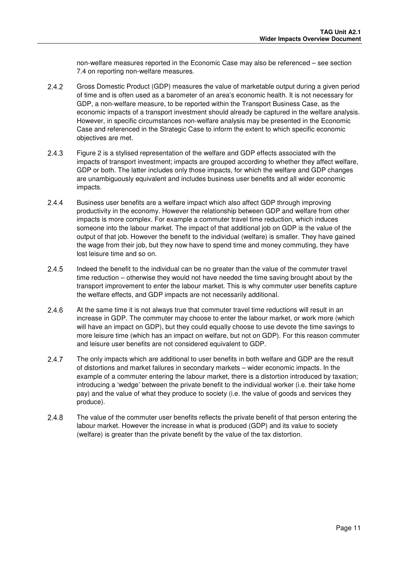non-welfare measures reported in the Economic Case may also be referenced – see section 7.4 on reporting non-welfare measures.

- Gross Domestic Product (GDP) measures the value of marketable output during a given period of time and is often used as a barometer of an area's economic health. It is not necessary for GDP, a non-welfare measure, to be reported within the Transport Business Case, as the economic impacts of a transport investment should already be captured in the welfare analysis. However, in specific circumstances non-welfare analysis may be presented in the Economic Case and referenced in the Strategic Case to inform the extent to which specific economic objectives are met.
- Figure 2 is a stylised representation of the welfare and GDP effects associated with the impacts of transport investment; impacts are grouped according to whether they affect welfare, GDP or both. The latter includes only those impacts, for which the welfare and GDP changes are unambiguously equivalent and includes business user benefits and all wider economic impacts.
- Business user benefits are a welfare impact which also affect GDP through improving productivity in the economy. However the relationship between GDP and welfare from other impacts is more complex. For example a commuter travel time reduction, which induces someone into the labour market. The impact of that additional job on GDP is the value of the output of that job. However the benefit to the individual (welfare) is smaller. They have gained the wage from their job, but they now have to spend time and money commuting, they have lost leisure time and so on.
- Indeed the benefit to the individual can be no greater than the value of the commuter travel time reduction – otherwise they would not have needed the time saving brought about by the transport improvement to enter the labour market. This is why commuter user benefits capture the welfare effects, and GDP impacts are not necessarily additional.
- 2.4.6 At the same time it is not always true that commuter travel time reductions will result in an increase in GDP. The commuter may choose to enter the labour market, or work more (which will have an impact on GDP), but they could equally choose to use devote the time savings to more leisure time (which has an impact on welfare, but not on GDP). For this reason commuter and leisure user benefits are not considered equivalent to GDP.
- 2.4.7 The only impacts which are additional to user benefits in both welfare and GDP are the result of distortions and market failures in secondary markets – wider economic impacts. In the example of a commuter entering the labour market, there is a distortion introduced by taxation; introducing a 'wedge' between the private benefit to the individual worker (i.e. their take home pay) and the value of what they produce to society (i.e. the value of goods and services they produce).
- 2.4.8 The value of the commuter user benefits reflects the private benefit of that person entering the labour market. However the increase in what is produced (GDP) and its value to society (welfare) is greater than the private benefit by the value of the tax distortion.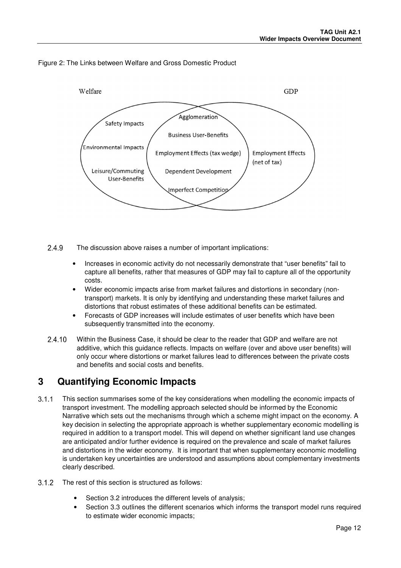



2.4.9 The discussion above raises a number of important implications:

- Increases in economic activity do not necessarily demonstrate that "user benefits" fail to capture all benefits, rather that measures of GDP may fail to capture all of the opportunity costs.
- Wider economic impacts arise from market failures and distortions in secondary (nontransport) markets. It is only by identifying and understanding these market failures and distortions that robust estimates of these additional benefits can be estimated.
- Forecasts of GDP increases will include estimates of user benefits which have been subsequently transmitted into the economy.
- 2.4.10 Within the Business Case, it should be clear to the reader that GDP and welfare are not additive, which this guidance reflects. Impacts on welfare (over and above user benefits) will only occur where distortions or market failures lead to differences between the private costs and benefits and social costs and benefits.

### **3 Quantifying Economic Impacts**

- This section summarises some of the key considerations when modelling the economic impacts of transport investment. The modelling approach selected should be informed by the Economic Narrative which sets out the mechanisms through which a scheme might impact on the economy. A key decision in selecting the appropriate approach is whether supplementary economic modelling is required in addition to a transport model. This will depend on whether significant land use changes are anticipated and/or further evidence is required on the prevalence and scale of market failures and distortions in the wider economy. It is important that when supplementary economic modelling is undertaken key uncertainties are understood and assumptions about complementary investments clearly described.
- 3.1.2 The rest of this section is structured as follows:
	- Section 3.2 introduces the different levels of analysis;
	- Section 3.3 outlines the different scenarios which informs the transport model runs required to estimate wider economic impacts;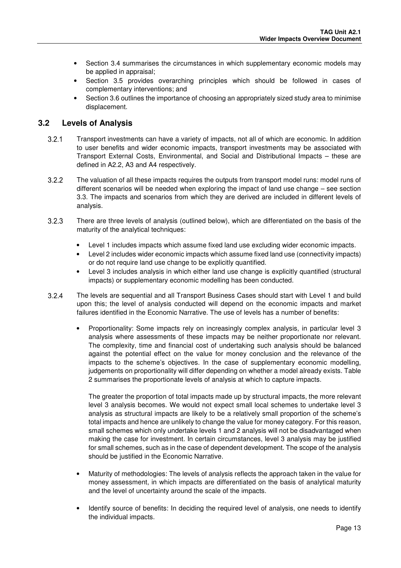- Section 3.4 summarises the circumstances in which supplementary economic models may be applied in appraisal;
- Section 3.5 provides overarching principles which should be followed in cases of complementary interventions; and
- Section 3.6 outlines the importance of choosing an appropriately sized study area to minimise displacement.

### **3.2 Levels of Analysis**

- Transport investments can have a variety of impacts, not all of which are economic. In addition to user benefits and wider economic impacts, transport investments may be associated with Transport External Costs, Environmental, and Social and Distributional Impacts – these are defined in A2.2, A3 and A4 respectively.
- 3.2.2 The valuation of all these impacts requires the outputs from transport model runs: model runs of different scenarios will be needed when exploring the impact of land use change – see section 3.3. The impacts and scenarios from which they are derived are included in different levels of analysis.
- There are three levels of analysis (outlined below), which are differentiated on the basis of the maturity of the analytical techniques:
	- Level 1 includes impacts which assume fixed land use excluding wider economic impacts.
	- Level 2 includes wider economic impacts which assume fixed land use (connectivity impacts) or do not require land use change to be explicitly quantified.
	- Level 3 includes analysis in which either land use change is explicitly quantified (structural impacts) or supplementary economic modelling has been conducted.
- The levels are sequential and all Transport Business Cases should start with Level 1 and build upon this; the level of analysis conducted will depend on the economic impacts and market failures identified in the Economic Narrative. The use of levels has a number of benefits:
	- Proportionality: Some impacts rely on increasingly complex analysis, in particular level 3 analysis where assessments of these impacts may be neither proportionate nor relevant. The complexity, time and financial cost of undertaking such analysis should be balanced against the potential effect on the value for money conclusion and the relevance of the impacts to the scheme's objectives. In the case of supplementary economic modelling, judgements on proportionality will differ depending on whether a model already exists. Table 2 summarises the proportionate levels of analysis at which to capture impacts.

The greater the proportion of total impacts made up by structural impacts, the more relevant level 3 analysis becomes. We would not expect small local schemes to undertake level 3 analysis as structural impacts are likely to be a relatively small proportion of the scheme's total impacts and hence are unlikely to change the value for money category. For this reason, small schemes which only undertake levels 1 and 2 analysis will not be disadvantaged when making the case for investment. In certain circumstances, level 3 analysis may be justified for small schemes, such as in the case of dependent development. The scope of the analysis should be justified in the Economic Narrative.

- Maturity of methodologies: The levels of analysis reflects the approach taken in the value for money assessment, in which impacts are differentiated on the basis of analytical maturity and the level of uncertainty around the scale of the impacts.
- Identify source of benefits: In deciding the required level of analysis, one needs to identify the individual impacts.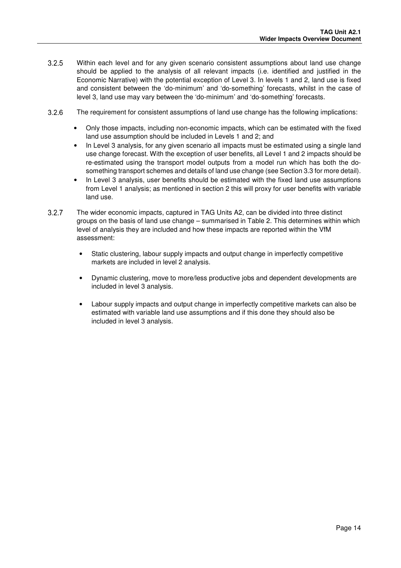- 3.2.5 Within each level and for any given scenario consistent assumptions about land use change should be applied to the analysis of all relevant impacts (i.e. identified and justified in the Economic Narrative) with the potential exception of Level 3. In levels 1 and 2, land use is fixed and consistent between the 'do-minimum' and 'do-something' forecasts, whilst in the case of level 3, land use may vary between the 'do-minimum' and 'do-something' forecasts.
- The requirement for consistent assumptions of land use change has the following implications:
	- Only those impacts, including non-economic impacts, which can be estimated with the fixed land use assumption should be included in Levels 1 and 2; and
	- In Level 3 analysis, for any given scenario all impacts must be estimated using a single land use change forecast. With the exception of user benefits, all Level 1 and 2 impacts should be re-estimated using the transport model outputs from a model run which has both the dosomething transport schemes and details of land use change (see Section 3.3 for more detail).
	- In Level 3 analysis, user benefits should be estimated with the fixed land use assumptions from Level 1 analysis; as mentioned in section 2 this will proxy for user benefits with variable land use.
- 3.2.7 The wider economic impacts, captured in TAG Units A2, can be divided into three distinct groups on the basis of land use change – summarised in Table 2. This determines within which level of analysis they are included and how these impacts are reported within the VfM assessment:
	- Static clustering, labour supply impacts and output change in imperfectly competitive markets are included in level 2 analysis.
	- Dynamic clustering, move to more/less productive jobs and dependent developments are included in level 3 analysis.
	- Labour supply impacts and output change in imperfectly competitive markets can also be estimated with variable land use assumptions and if this done they should also be included in level 3 analysis.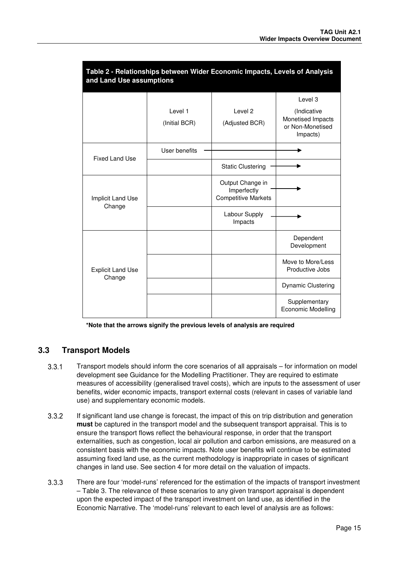| Table 2 - Relationships between Wider Economic Impacts, Levels of Analysis<br>and Land Use assumptions |                          |                                                               |                                                                  |  |  |  |  |  |  |
|--------------------------------------------------------------------------------------------------------|--------------------------|---------------------------------------------------------------|------------------------------------------------------------------|--|--|--|--|--|--|
|                                                                                                        |                          |                                                               | Level 3                                                          |  |  |  |  |  |  |
|                                                                                                        | Level 1<br>(Initial BCR) | Level <sub>2</sub><br>(Adjusted BCR)                          | (Indicative<br>Monetised Impacts<br>or Non-Monetised<br>Impacts) |  |  |  |  |  |  |
| <b>Fixed Land Use</b>                                                                                  | User benefits            |                                                               |                                                                  |  |  |  |  |  |  |
|                                                                                                        |                          | <b>Static Clustering</b>                                      |                                                                  |  |  |  |  |  |  |
| Implicit Land Use                                                                                      |                          | Output Change in<br>Imperfectly<br><b>Competitive Markets</b> |                                                                  |  |  |  |  |  |  |
| Change                                                                                                 |                          | Labour Supply<br>Impacts                                      |                                                                  |  |  |  |  |  |  |
|                                                                                                        |                          |                                                               | Dependent<br>Development                                         |  |  |  |  |  |  |
| <b>Explicit Land Use</b>                                                                               |                          |                                                               | Move to More/Less<br>Productive Jobs                             |  |  |  |  |  |  |
| Change                                                                                                 |                          |                                                               | <b>Dynamic Clustering</b>                                        |  |  |  |  |  |  |
|                                                                                                        |                          |                                                               | Supplementary<br><b>Economic Modelling</b>                       |  |  |  |  |  |  |

**\*Note that the arrows signify the previous levels of analysis are required** 

### **3.3 Transport Models**

- Transport models should inform the core scenarios of all appraisals for information on model development see Guidance for the Modelling Practitioner. They are required to estimate measures of accessibility (generalised travel costs), which are inputs to the assessment of user benefits, wider economic impacts, transport external costs (relevant in cases of variable land use) and supplementary economic models.
- If significant land use change is forecast, the impact of this on trip distribution and generation **must** be captured in the transport model and the subsequent transport appraisal. This is to ensure the transport flows reflect the behavioural response, in order that the transport externalities, such as congestion, local air pollution and carbon emissions, are measured on a consistent basis with the economic impacts. Note user benefits will continue to be estimated assuming fixed land use, as the current methodology is inappropriate in cases of significant changes in land use. See section 4 for more detail on the valuation of impacts.
- There are four 'model-runs' referenced for the estimation of the impacts of transport investment – Table 3. The relevance of these scenarios to any given transport appraisal is dependent upon the expected impact of the transport investment on land use, as identified in the Economic Narrative. The 'model-runs' relevant to each level of analysis are as follows: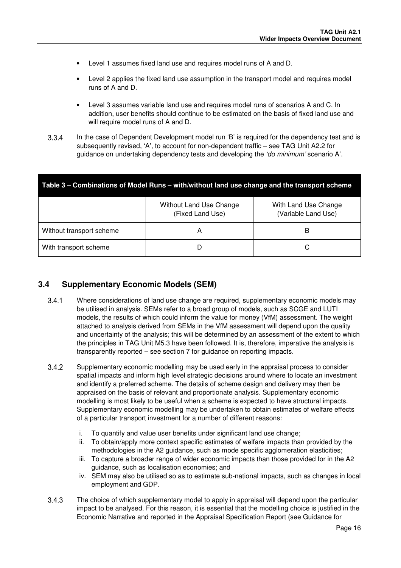- Level 1 assumes fixed land use and requires model runs of A and D.
- Level 2 applies the fixed land use assumption in the transport model and requires model runs of A and D.
- Level 3 assumes variable land use and requires model runs of scenarios A and C. In addition, user benefits should continue to be estimated on the basis of fixed land use and will require model runs of A and D.
- In the case of Dependent Development model run 'B' is required for the dependency test and is subsequently revised, 'A', to account for non-dependent traffic – see TAG Unit A2.2 for guidance on undertaking dependency tests and developing the 'do minimum' scenario A'.

| Table 3 – Combinations of Model Runs – with/without land use change and the transport scheme |                                             |                                             |  |  |  |  |  |  |
|----------------------------------------------------------------------------------------------|---------------------------------------------|---------------------------------------------|--|--|--|--|--|--|
|                                                                                              | Without Land Use Change<br>(Fixed Land Use) | With Land Use Change<br>(Variable Land Use) |  |  |  |  |  |  |
| Without transport scheme                                                                     | А                                           | В                                           |  |  |  |  |  |  |
| With transport scheme                                                                        |                                             |                                             |  |  |  |  |  |  |

### **3.4 Supplementary Economic Models (SEM)**

- Where considerations of land use change are required, supplementary economic models may be utilised in analysis. SEMs refer to a broad group of models, such as SCGE and LUTI models, the results of which could inform the value for money (VfM) assessment. The weight attached to analysis derived from SEMs in the VfM assessment will depend upon the quality and uncertainty of the analysis; this will be determined by an assessment of the extent to which the principles in TAG Unit M5.3 have been followed. It is, therefore, imperative the analysis is transparently reported – see section 7 for guidance on reporting impacts.
- Supplementary economic modelling may be used early in the appraisal process to consider spatial impacts and inform high level strategic decisions around where to locate an investment and identify a preferred scheme. The details of scheme design and delivery may then be appraised on the basis of relevant and proportionate analysis. Supplementary economic modelling is most likely to be useful when a scheme is expected to have structural impacts. Supplementary economic modelling may be undertaken to obtain estimates of welfare effects of a particular transport investment for a number of different reasons:
	- i. To quantify and value user benefits under significant land use change;
	- ii. To obtain/apply more context specific estimates of welfare impacts than provided by the methodologies in the A2 guidance, such as mode specific agglomeration elasticities;
	- iii. To capture a broader range of wider economic impacts than those provided for in the A2 guidance, such as localisation economies; and
	- iv. SEM may also be utilised so as to estimate sub-national impacts, such as changes in local employment and GDP.
- The choice of which supplementary model to apply in appraisal will depend upon the particular impact to be analysed. For this reason, it is essential that the modelling choice is justified in the Economic Narrative and reported in the Appraisal Specification Report (see Guidance for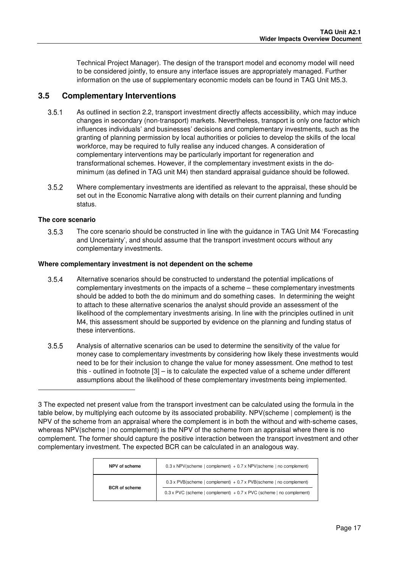Technical Project Manager). The design of the transport model and economy model will need to be considered jointly, to ensure any interface issues are appropriately managed. Further information on the use of supplementary economic models can be found in TAG Unit M5.3.

#### **3.5 Complementary Interventions**

- As outlined in section 2.2, transport investment directly affects accessibility, which may induce changes in secondary (non-transport) markets. Nevertheless, transport is only one factor which influences individuals' and businesses' decisions and complementary investments, such as the granting of planning permission by local authorities or policies to develop the skills of the local workforce, may be required to fully realise any induced changes. A consideration of complementary interventions may be particularly important for regeneration and transformational schemes. However, if the complementary investment exists in the dominimum (as defined in TAG unit M4) then standard appraisal guidance should be followed.
- Where complementary investments are identified as relevant to the appraisal, these should be set out in the Economic Narrative along with details on their current planning and funding status.

#### **The core scenario**

l

 The core scenario should be constructed in line with the guidance in TAG Unit M4 'Forecasting and Uncertainty', and should assume that the transport investment occurs without any complementary investments.

#### **Where complementary investment is not dependent on the scheme**

- Alternative scenarios should be constructed to understand the potential implications of complementary investments on the impacts of a scheme – these complementary investments should be added to both the do minimum and do something cases. In determining the weight to attach to these alternative scenarios the analyst should provide an assessment of the likelihood of the complementary investments arising. In line with the principles outlined in unit M4, this assessment should be supported by evidence on the planning and funding status of these interventions.
- Analysis of alternative scenarios can be used to determine the sensitivity of the value for money case to complementary investments by considering how likely these investments would need to be for their inclusion to change the value for money assessment. One method to test this - outlined in footnote [3] – is to calculate the expected value of a scheme under different assumptions about the likelihood of these complementary investments being implemented.

<sup>3</sup> The expected net present value from the transport investment can be calculated using the formula in the table below, by multiplying each outcome by its associated probability. NPV(scheme | complement) is the NPV of the scheme from an appraisal where the complement is in both the without and with-scheme cases, whereas NPV(scheme | no complement) is the NPV of the scheme from an appraisal where there is no complement. The former should capture the positive interaction between the transport investment and other complementary investment. The expected BCR can be calculated in an analogous way.

| NPV of scheme        | $0.3 \times \text{NPV}$ (scheme   complement) + 0.7 x NPV (scheme   no complement)                                                                       |
|----------------------|----------------------------------------------------------------------------------------------------------------------------------------------------------|
| <b>BCR</b> of scheme | $0.3 \times$ PVB(scheme   complement) + 0.7 x PVB(scheme   no complement)<br>$0.3 \times$ PVC (scheme   complement) + 0.7 x PVC (scheme   no complement) |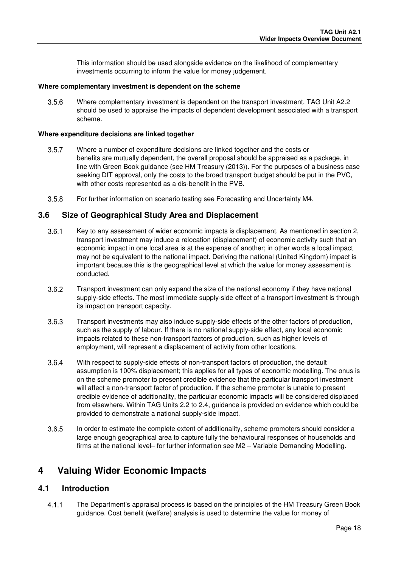This information should be used alongside evidence on the likelihood of complementary investments occurring to inform the value for money judgement.

#### **Where complementary investment is dependent on the scheme**

 Where complementary investment is dependent on the transport investment, TAG Unit A2.2 should be used to appraise the impacts of dependent development associated with a transport scheme.

#### **Where expenditure decisions are linked together**

- Where a number of expenditure decisions are linked together and the costs or benefits are mutually dependent, the overall proposal should be appraised as a package, in line with Green Book guidance (see HM Treasury (2013)). For the purposes of a business case seeking DfT approval, only the costs to the broad transport budget should be put in the PVC, with other costs represented as a dis-benefit in the PVB.
- For further information on scenario testing see Forecasting and Uncertainty M4.

#### **3.6 Size of Geographical Study Area and Displacement**

- 3.6.1 Key to any assessment of wider economic impacts is displacement. As mentioned in section 2, transport investment may induce a relocation (displacement) of economic activity such that an economic impact in one local area is at the expense of another; in other words a local impact may not be equivalent to the national impact. Deriving the national (United Kingdom) impact is important because this is the geographical level at which the value for money assessment is conducted.
- Transport investment can only expand the size of the national economy if they have national supply-side effects. The most immediate supply-side effect of a transport investment is through its impact on transport capacity.
- Transport investments may also induce supply-side effects of the other factors of production, such as the supply of labour. If there is no national supply-side effect, any local economic impacts related to these non-transport factors of production, such as higher levels of employment, will represent a displacement of activity from other locations.
- 3.6.4 With respect to supply-side effects of non-transport factors of production, the default assumption is 100% displacement; this applies for all types of economic modelling. The onus is on the scheme promoter to present credible evidence that the particular transport investment will affect a non-transport factor of production. If the scheme promoter is unable to present credible evidence of additionality, the particular economic impacts will be considered displaced from elsewhere. Within TAG Units 2.2 to 2.4, guidance is provided on evidence which could be provided to demonstrate a national supply-side impact.
- 3.6.5 In order to estimate the complete extent of additionality, scheme promoters should consider a large enough geographical area to capture fully the behavioural responses of households and firms at the national level– for further information see M2 – Variable Demanding Modelling.

### **4 Valuing Wider Economic Impacts**

#### **4.1 Introduction**

 The Department's appraisal process is based on the principles of the HM Treasury Green Book guidance. Cost benefit (welfare) analysis is used to determine the value for money of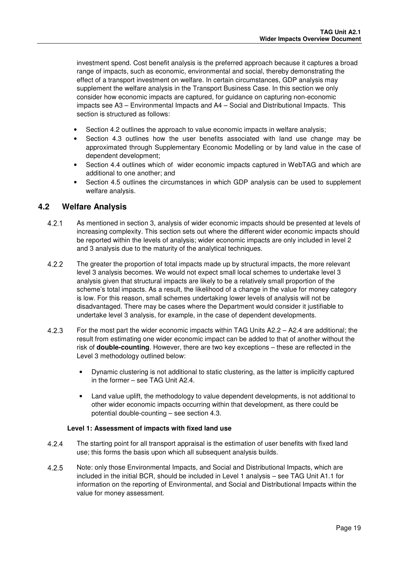investment spend. Cost benefit analysis is the preferred approach because it captures a broad range of impacts, such as economic, environmental and social, thereby demonstrating the effect of a transport investment on welfare. In certain circumstances, GDP analysis may supplement the welfare analysis in the Transport Business Case. In this section we only consider how economic impacts are captured, for guidance on capturing non-economic impacts see A3 – Environmental Impacts and A4 – Social and Distributional Impacts. This section is structured as follows:

- Section 4.2 outlines the approach to value economic impacts in welfare analysis;
- Section 4.3 outlines how the user benefits associated with land use change may be approximated through Supplementary Economic Modelling or by land value in the case of dependent development;
- Section 4.4 outlines which of wider economic impacts captured in WebTAG and which are additional to one another; and
- Section 4.5 outlines the circumstances in which GDP analysis can be used to supplement welfare analysis.

### **4.2 Welfare Analysis**

- As mentioned in section 3, analysis of wider economic impacts should be presented at levels of increasing complexity. This section sets out where the different wider economic impacts should be reported within the levels of analysis; wider economic impacts are only included in level 2 and 3 analysis due to the maturity of the analytical techniques.
- 4.2.2 The greater the proportion of total impacts made up by structural impacts, the more relevant level 3 analysis becomes. We would not expect small local schemes to undertake level 3 analysis given that structural impacts are likely to be a relatively small proportion of the scheme's total impacts. As a result, the likelihood of a change in the value for money category is low. For this reason, small schemes undertaking lower levels of analysis will not be disadvantaged. There may be cases where the Department would consider it justifiable to undertake level 3 analysis, for example, in the case of dependent developments.
- For the most part the wider economic impacts within TAG Units A2.2 A2.4 are additional; the result from estimating one wider economic impact can be added to that of another without the risk of **double-counting**. However, there are two key exceptions – these are reflected in the Level 3 methodology outlined below:
	- Dynamic clustering is not additional to static clustering, as the latter is implicitly captured in the former – see TAG Unit A2.4.
	- Land value uplift, the methodology to value dependent developments, is not additional to other wider economic impacts occurring within that development, as there could be potential double-counting – see section 4.3.

#### **Level 1: Assessment of impacts with fixed land use**

- The starting point for all transport appraisal is the estimation of user benefits with fixed land use; this forms the basis upon which all subsequent analysis builds.
- Note: only those Environmental Impacts, and Social and Distributional Impacts, which are included in the initial BCR, should be included in Level 1 analysis – see TAG Unit A1.1 for information on the reporting of Environmental, and Social and Distributional Impacts within the value for money assessment.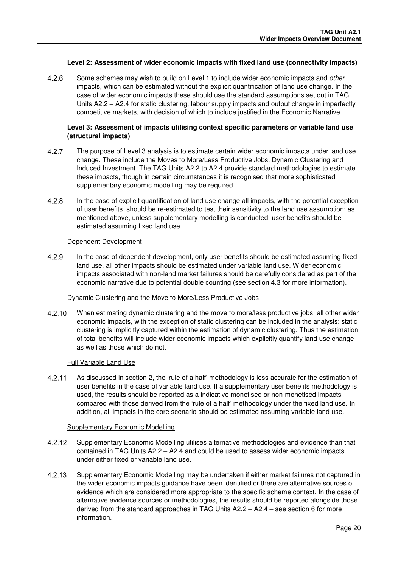#### **Level 2: Assessment of wider economic impacts with fixed land use (connectivity impacts)**

4.2.6 Some schemes may wish to build on Level 1 to include wider economic impacts and *other* impacts, which can be estimated without the explicit quantification of land use change. In the case of wider economic impacts these should use the standard assumptions set out in TAG Units A2.2 – A2.4 for static clustering, labour supply impacts and output change in imperfectly competitive markets, with decision of which to include justified in the Economic Narrative.

#### **Level 3: Assessment of impacts utilising context specific parameters or variable land use (structural impacts)**

- 4.2.7 The purpose of Level 3 analysis is to estimate certain wider economic impacts under land use change. These include the Moves to More/Less Productive Jobs, Dynamic Clustering and Induced Investment. The TAG Units A2.2 to A2.4 provide standard methodologies to estimate these impacts, though in certain circumstances it is recognised that more sophisticated supplementary economic modelling may be required.
- In the case of explicit quantification of land use change all impacts, with the potential exception of user benefits, should be re-estimated to test their sensitivity to the land use assumption; as mentioned above, unless supplementary modelling is conducted, user benefits should be estimated assuming fixed land use.

#### Dependent Development

 In the case of dependent development, only user benefits should be estimated assuming fixed land use, all other impacts should be estimated under variable land use. Wider economic impacts associated with non-land market failures should be carefully considered as part of the economic narrative due to potential double counting (see section 4.3 for more information).

#### Dynamic Clustering and the Move to More/Less Productive Jobs

4.2.10 When estimating dynamic clustering and the move to more/less productive jobs, all other wider economic impacts, with the exception of static clustering can be included in the analysis: static clustering is implicitly captured within the estimation of dynamic clustering. Thus the estimation of total benefits will include wider economic impacts which explicitly quantify land use change as well as those which do not.

#### Full Variable Land Use

 As discussed in section 2, the 'rule of a half' methodology is less accurate for the estimation of user benefits in the case of variable land use. If a supplementary user benefits methodology is used, the results should be reported as a indicative monetised or non-monetised impacts compared with those derived from the 'rule of a half' methodology under the fixed land use. In addition, all impacts in the core scenario should be estimated assuming variable land use.

#### Supplementary Economic Modelling

- Supplementary Economic Modelling utilises alternative methodologies and evidence than that contained in TAG Units A2.2 – A2.4 and could be used to assess wider economic impacts under either fixed or variable land use.
- Supplementary Economic Modelling may be undertaken if either market failures not captured in the wider economic impacts guidance have been identified or there are alternative sources of evidence which are considered more appropriate to the specific scheme context. In the case of alternative evidence sources or methodologies, the results should be reported alongside those derived from the standard approaches in TAG Units A2.2 – A2.4 – see section 6 for more information.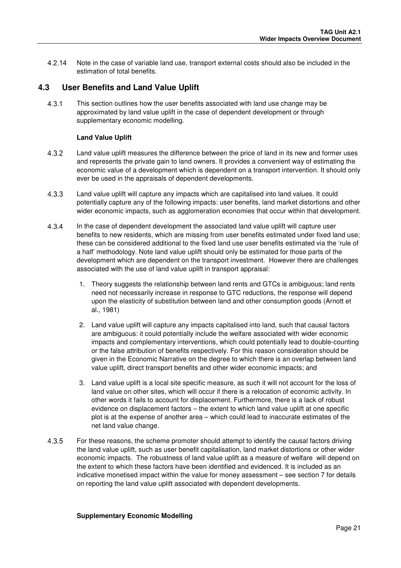Note in the case of variable land use, transport external costs should also be included in the estimation of total benefits.

#### **4.3 User Benefits and Land Value Uplift**

 This section outlines how the user benefits associated with land use change may be approximated by land value uplift in the case of dependent development or through supplementary economic modelling.

#### **Land Value Uplift**

- Land value uplift measures the difference between the price of land in its new and former uses and represents the private gain to land owners. It provides a convenient way of estimating the economic value of a development which is dependent on a transport intervention. It should only ever be used in the appraisals of dependent developments.
- Land value uplift will capture any impacts which are capitalised into land values. It could potentially capture any of the following impacts: user benefits, land market distortions and other wider economic impacts, such as agglomeration economies that occur within that development.
- In the case of dependent development the associated land value uplift will capture user benefits to new residents, which are missing from user benefits estimated under fixed land use; these can be considered additional to the fixed land use user benefits estimated via the 'rule of a half' methodology. Note land value uplift should only be estimated for those parts of the development which are dependent on the transport investment. However there are challenges associated with the use of land value uplift in transport appraisal:
	- 1. Theory suggests the relationship between land rents and GTCs is ambiguous; land rents need not necessarily increase in response to GTC reductions, the response will depend upon the elasticity of substitution between land and other consumption goods (Arnott et al., 1981)
	- 2. Land value uplift will capture any impacts capitalised into land, such that causal factors are ambiguous: it could potentially include the welfare associated with wider economic impacts and complementary interventions, which could potentially lead to double-counting or the false attribution of benefits respectively. For this reason consideration should be given in the Economic Narrative on the degree to which there is an overlap between land value uplift, direct transport benefits and other wider economic impacts; and
	- 3. Land value uplift is a local site specific measure, as such it will not account for the loss of land value on other sites, which will occur if there is a relocation of economic activity. In other words it fails to account for displacement. Furthermore, there is a lack of robust evidence on displacement factors – the extent to which land value uplift at one specific plot is at the expense of another area – which could lead to inaccurate estimates of the net land value change.
- For these reasons, the scheme promoter should attempt to identify the causal factors driving the land value uplift, such as user benefit capitalisation, land market distortions or other wider economic impacts. The robustness of land value uplift as a measure of welfare will depend on the extent to which these factors have been identified and evidenced. It is included as an indicative monetised impact within the value for money assessment – see section 7 for details on reporting the land value uplift associated with dependent developments.

#### **Supplementary Economic Modelling**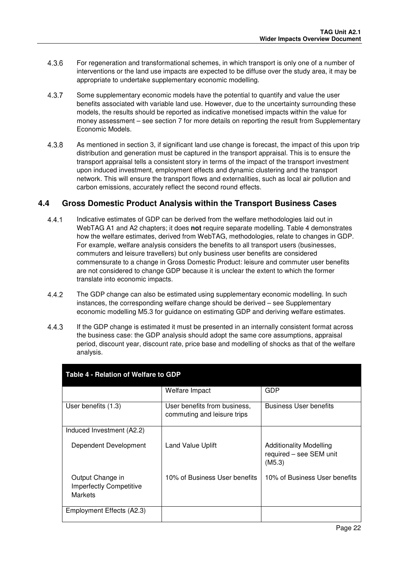- For regeneration and transformational schemes, in which transport is only one of a number of interventions or the land use impacts are expected to be diffuse over the study area, it may be appropriate to undertake supplementary economic modelling.
- Some supplementary economic models have the potential to quantify and value the user benefits associated with variable land use. However, due to the uncertainty surrounding these models, the results should be reported as indicative monetised impacts within the value for money assessment – see section 7 for more details on reporting the result from Supplementary Economic Models.
- As mentioned in section 3, if significant land use change is forecast, the impact of this upon trip distribution and generation must be captured in the transport appraisal. This is to ensure the transport appraisal tells a consistent story in terms of the impact of the transport investment upon induced investment, employment effects and dynamic clustering and the transport network. This will ensure the transport flows and externalities, such as local air pollution and carbon emissions, accurately reflect the second round effects.

### **4.4 Gross Domestic Product Analysis within the Transport Business Cases**

- Indicative estimates of GDP can be derived from the welfare methodologies laid out in WebTAG A1 and A2 chapters; it does **not** require separate modelling. Table 4 demonstrates how the welfare estimates, derived from WebTAG, methodologies, relate to changes in GDP. For example, welfare analysis considers the benefits to all transport users (businesses, commuters and leisure travellers) but only business user benefits are considered commensurate to a change in Gross Domestic Product: leisure and commuter user benefits are not considered to change GDP because it is unclear the extent to which the former translate into economic impacts.
- The GDP change can also be estimated using supplementary economic modelling. In such instances, the corresponding welfare change should be derived – see Supplementary economic modelling M5.3 for guidance on estimating GDP and deriving welfare estimates.
- If the GDP change is estimated it must be presented in an internally consistent format across the business case: the GDP analysis should adopt the same core assumptions, appraisal period, discount year, discount rate, price base and modelling of shocks as that of the welfare analysis.

| Table 4 - Relation of Welfare to GDP                                 |                                                             |                                                                     |  |  |  |  |  |  |  |
|----------------------------------------------------------------------|-------------------------------------------------------------|---------------------------------------------------------------------|--|--|--|--|--|--|--|
|                                                                      | Welfare Impact                                              | GDP                                                                 |  |  |  |  |  |  |  |
| User benefits (1.3)                                                  | User benefits from business,<br>commuting and leisure trips | <b>Business User benefits</b>                                       |  |  |  |  |  |  |  |
| Induced Investment (A2.2)                                            |                                                             |                                                                     |  |  |  |  |  |  |  |
| Dependent Development                                                | <b>Land Value Uplift</b>                                    | <b>Additionality Modelling</b><br>required - see SEM unit<br>(M5.3) |  |  |  |  |  |  |  |
| Output Change in<br><b>Imperfectly Competitive</b><br><b>Markets</b> | 10% of Business User benefits                               | 10% of Business User benefits                                       |  |  |  |  |  |  |  |
| Employment Effects (A2.3)                                            |                                                             |                                                                     |  |  |  |  |  |  |  |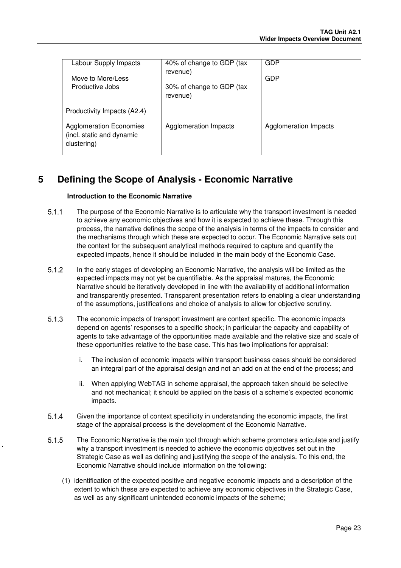| Labour Supply Impacts<br>Move to More/Less<br>Productive Jobs                                             | 40% of change to GDP (tax<br>revenue)<br>30% of change to GDP (tax<br>revenue) | <b>GDP</b><br>GDP     |
|-----------------------------------------------------------------------------------------------------------|--------------------------------------------------------------------------------|-----------------------|
| Productivity Impacts (A2.4)<br><b>Agglomeration Economies</b><br>(incl. static and dynamic<br>clustering) | Agglomeration Impacts                                                          | Agglomeration Impacts |

### **5 Defining the Scope of Analysis - Economic Narrative**

#### **Introduction to the Economic Narrative**

- The purpose of the Economic Narrative is to articulate why the transport investment is needed to achieve any economic objectives and how it is expected to achieve these. Through this process, the narrative defines the scope of the analysis in terms of the impacts to consider and the mechanisms through which these are expected to occur. The Economic Narrative sets out the context for the subsequent analytical methods required to capture and quantify the expected impacts, hence it should be included in the main body of the Economic Case.
- In the early stages of developing an Economic Narrative, the analysis will be limited as the expected impacts may not yet be quantifiable. As the appraisal matures, the Economic Narrative should be iteratively developed in line with the availability of additional information and transparently presented. Transparent presentation refers to enabling a clear understanding of the assumptions, justifications and choice of analysis to allow for objective scrutiny.
- 5.1.3 The economic impacts of transport investment are context specific. The economic impacts depend on agents' responses to a specific shock; in particular the capacity and capability of agents to take advantage of the opportunities made available and the relative size and scale of these opportunities relative to the base case. This has two implications for appraisal:
	- i. The inclusion of economic impacts within transport business cases should be considered an integral part of the appraisal design and not an add on at the end of the process; and
	- ii. When applying WebTAG in scheme appraisal, the approach taken should be selective and not mechanical; it should be applied on the basis of a scheme's expected economic impacts.
- Given the importance of context specificity in understanding the economic impacts, the first stage of the appraisal process is the development of the Economic Narrative.
- The Economic Narrative is the main tool through which scheme promoters articulate and justify why a transport investment is needed to achieve the economic objectives set out in the Strategic Case as well as defining and justifying the scope of the analysis. To this end, the Economic Narrative should include information on the following:
	- (1) identification of the expected positive and negative economic impacts and a description of the extent to which these are expected to achieve any economic objectives in the Strategic Case, as well as any significant unintended economic impacts of the scheme;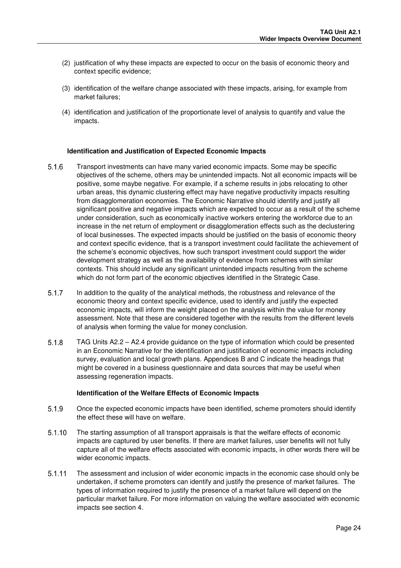- (2) justification of why these impacts are expected to occur on the basis of economic theory and context specific evidence;
- (3) identification of the welfare change associated with these impacts, arising, for example from market failures;
- (4) identification and justification of the proportionate level of analysis to quantify and value the impacts.

#### **Identification and Justification of Expected Economic Impacts**

- Transport investments can have many varied economic impacts. Some may be specific objectives of the scheme, others may be unintended impacts. Not all economic impacts will be positive, some maybe negative. For example, if a scheme results in jobs relocating to other urban areas, this dynamic clustering effect may have negative productivity impacts resulting from disagglomeration economies. The Economic Narrative should identify and justify all significant positive and negative impacts which are expected to occur as a result of the scheme under consideration, such as economically inactive workers entering the workforce due to an increase in the net return of employment or disagglomeration effects such as the declustering of local businesses. The expected impacts should be justified on the basis of economic theory and context specific evidence, that is a transport investment could facilitate the achievement of the scheme's economic objectives, how such transport investment could support the wider development strategy as well as the availability of evidence from schemes with similar contexts. This should include any significant unintended impacts resulting from the scheme which do not form part of the economic objectives identified in the Strategic Case.
- In addition to the quality of the analytical methods, the robustness and relevance of the economic theory and context specific evidence, used to identify and justify the expected economic impacts, will inform the weight placed on the analysis within the value for money assessment. Note that these are considered together with the results from the different levels of analysis when forming the value for money conclusion.
- TAG Units A2.2 A2.4 provide guidance on the type of information which could be presented in an Economic Narrative for the identification and justification of economic impacts including survey, evaluation and local growth plans. Appendices B and C indicate the headings that might be covered in a business questionnaire and data sources that may be useful when assessing regeneration impacts.

#### **Identification of the Welfare Effects of Economic Impacts**

- Once the expected economic impacts have been identified, scheme promoters should identify the effect these will have on welfare.
- 5.1.10 The starting assumption of all transport appraisals is that the welfare effects of economic impacts are captured by user benefits. If there are market failures, user benefits will not fully capture all of the welfare effects associated with economic impacts, in other words there will be wider economic impacts.
- The assessment and inclusion of wider economic impacts in the economic case should only be undertaken, if scheme promoters can identify and justify the presence of market failures. The types of information required to justify the presence of a market failure will depend on the particular market failure. For more information on valuing the welfare associated with economic impacts see section 4.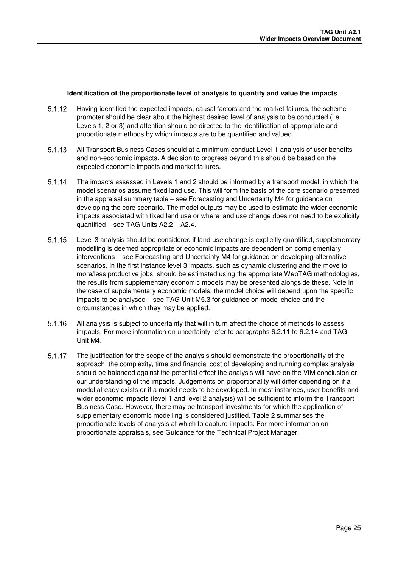#### **Identification of the proportionate level of analysis to quantify and value the impacts**

- Having identified the expected impacts, causal factors and the market failures, the scheme promoter should be clear about the highest desired level of analysis to be conducted (i.e. Levels 1, 2 or 3) and attention should be directed to the identification of appropriate and proportionate methods by which impacts are to be quantified and valued.
- All Transport Business Cases should at a minimum conduct Level 1 analysis of user benefits and non-economic impacts. A decision to progress beyond this should be based on the expected economic impacts and market failures.
- 5.1.14 The impacts assessed in Levels 1 and 2 should be informed by a transport model, in which the model scenarios assume fixed land use. This will form the basis of the core scenario presented in the appraisal summary table – see Forecasting and Uncertainty M4 for guidance on developing the core scenario. The model outputs may be used to estimate the wider economic impacts associated with fixed land use or where land use change does not need to be explicitly quantified – see TAG Units A2.2 – A2.4.
- Level 3 analysis should be considered if land use change is explicitly quantified, supplementary modelling is deemed appropriate or economic impacts are dependent on complementary interventions – see Forecasting and Uncertainty M4 for guidance on developing alternative scenarios. In the first instance level 3 impacts, such as dynamic clustering and the move to more/less productive jobs, should be estimated using the appropriate WebTAG methodologies, the results from supplementary economic models may be presented alongside these. Note in the case of supplementary economic models, the model choice will depend upon the specific impacts to be analysed – see TAG Unit M5.3 for guidance on model choice and the circumstances in which they may be applied.
- All analysis is subject to uncertainty that will in turn affect the choice of methods to assess impacts. For more information on uncertainty refer to paragraphs 6.2.11 to 6.2.14 and TAG Unit M4.
- 5.1.17 The justification for the scope of the analysis should demonstrate the proportionality of the approach: the complexity, time and financial cost of developing and running complex analysis should be balanced against the potential effect the analysis will have on the VfM conclusion or our understanding of the impacts. Judgements on proportionality will differ depending on if a model already exists or if a model needs to be developed. In most instances, user benefits and wider economic impacts (level 1 and level 2 analysis) will be sufficient to inform the Transport Business Case. However, there may be transport investments for which the application of supplementary economic modelling is considered justified. Table 2 summarises the proportionate levels of analysis at which to capture impacts. For more information on proportionate appraisals, see Guidance for the Technical Project Manager.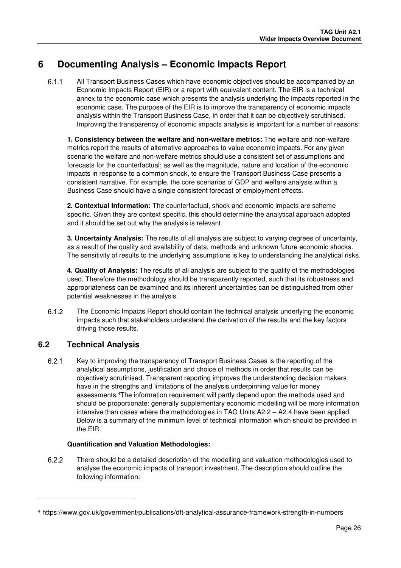### **6 Documenting Analysis – Economic Impacts Report**

 All Transport Business Cases which have economic objectives should be accompanied by an Economic Impacts Report (EIR) or a report with equivalent content. The EIR is a technical annex to the economic case which presents the analysis underlying the impacts reported in the economic case. The purpose of the EIR is to improve the transparency of economic impacts analysis within the Transport Business Case, in order that it can be objectively scrutinised. Improving the transparency of economic impacts analysis is important for a number of reasons:

**1. Consistency between the welfare and non-welfare metrics:** The welfare and non-welfare metrics report the results of alternative approaches to value economic impacts. For any given scenario the welfare and non-welfare metrics should use a consistent set of assumptions and forecasts for the counterfactual; as well as the magnitude, nature and location of the economic impacts in response to a common shock, to ensure the Transport Business Case presents a consistent narrative. For example, the core scenarios of GDP and welfare analysis within a Business Case should have a single consistent forecast of employment effects.

**2. Contextual Information:** The counterfactual, shock and economic impacts are scheme specific. Given they are context specific, this should determine the analytical approach adopted and it should be set out why the analysis is relevant

**3. Uncertainty Analysis:** The results of all analysis are subject to varying degrees of uncertainty, as a result of the quality and availability of data, methods and unknown future economic shocks. The sensitivity of results to the underlying assumptions is key to understanding the analytical risks.

**4. Quality of Analysis:** The results of all analysis are subject to the quality of the methodologies used. Therefore the methodology should be transparently reported, such that its robustness and appropriateness can be examined and its inherent uncertainties can be distinguished from other potential weaknesses in the analysis.

 The Economic Impacts Report should contain the technical analysis underlying the economic impacts such that stakeholders understand the derivation of the results and the key factors driving those results.

### **6.2 Technical Analysis**

l

6.2.1 Key to improving the transparency of Transport Business Cases is the reporting of the analytical assumptions, justification and choice of methods in order that results can be objectively scrutinised. Transparent reporting improves the understanding decision makers have in the strengths and limitations of the analysis underpinning value for money assessments.<sup>4</sup>The information requirement will partly depend upon the methods used and should be proportionate: generally supplementary economic modelling will be more information intensive than cases where the methodologies in TAG Units A2.2 – A2.4 have been applied. Below is a summary of the minimum level of technical information which should be provided in the EIR.

#### **Quantification and Valuation Methodologies:**

 There should be a detailed description of the modelling and valuation methodologies used to analyse the economic impacts of transport investment. The description should outline the following information:

<sup>4</sup> https://www.gov.uk/government/publications/dft-analytical-assurance-framework-strength-in-numbers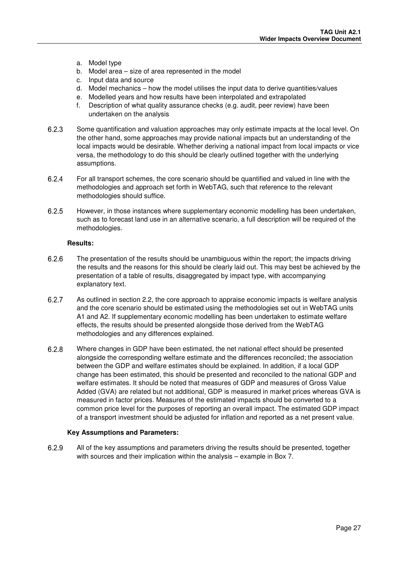- a. Model type
- b. Model area size of area represented in the model
- c. Input data and source
- d. Model mechanics how the model utilises the input data to derive quantities/values
- e. Modelled years and how results have been interpolated and extrapolated
- f. Description of what quality assurance checks (e.g. audit, peer review) have been undertaken on the analysis
- Some quantification and valuation approaches may only estimate impacts at the local level. On the other hand, some approaches may provide national impacts but an understanding of the local impacts would be desirable. Whether deriving a national impact from local impacts or vice versa, the methodology to do this should be clearly outlined together with the underlying assumptions.
- For all transport schemes, the core scenario should be quantified and valued in line with the methodologies and approach set forth in WebTAG, such that reference to the relevant methodologies should suffice.
- 6.2.5 However, in those instances where supplementary economic modelling has been undertaken, such as to forecast land use in an alternative scenario, a full description will be required of the methodologies.

#### **Results:**

- The presentation of the results should be unambiguous within the report; the impacts driving the results and the reasons for this should be clearly laid out. This may best be achieved by the presentation of a table of results, disaggregated by impact type, with accompanying explanatory text.
- As outlined in section 2.2, the core approach to appraise economic impacts is welfare analysis and the core scenario should be estimated using the methodologies set out in WebTAG units A1 and A2. If supplementary economic modelling has been undertaken to estimate welfare effects, the results should be presented alongside those derived from the WebTAG methodologies and any differences explained.
- 6.2.8 Where changes in GDP have been estimated, the net national effect should be presented alongside the corresponding welfare estimate and the differences reconciled; the association between the GDP and welfare estimates should be explained. In addition, if a local GDP change has been estimated, this should be presented and reconciled to the national GDP and welfare estimates. It should be noted that measures of GDP and measures of Gross Value Added (GVA) are related but not additional, GDP is measured in market prices whereas GVA is measured in factor prices. Measures of the estimated impacts should be converted to a common price level for the purposes of reporting an overall impact. The estimated GDP impact of a transport investment should be adjusted for inflation and reported as a net present value.

#### **Key Assumptions and Parameters:**

 All of the key assumptions and parameters driving the results should be presented, together with sources and their implication within the analysis – example in Box 7.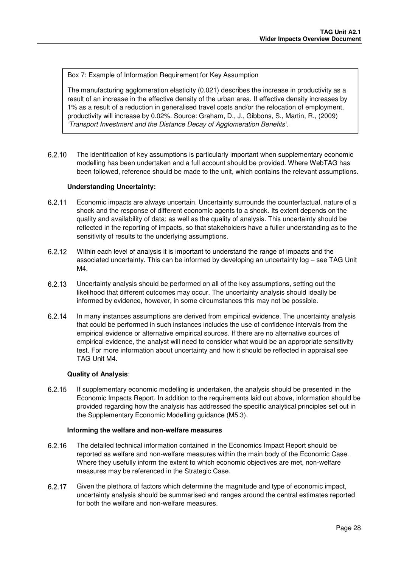Box 7: Example of Information Requirement for Key Assumption

The manufacturing agglomeration elasticity (0.021) describes the increase in productivity as a result of an increase in the effective density of the urban area. If effective density increases by 1% as a result of a reduction in generalised travel costs and/or the relocation of employment, productivity will increase by 0.02%. Source: Graham, D., J., Gibbons, S., Martin, R., (2009) 'Transport Investment and the Distance Decay of Agglomeration Benefits'.

 The identification of key assumptions is particularly important when supplementary economic modelling has been undertaken and a full account should be provided. Where WebTAG has been followed, reference should be made to the unit, which contains the relevant assumptions.

#### **Understanding Uncertainty:**

- Economic impacts are always uncertain. Uncertainty surrounds the counterfactual, nature of a shock and the response of different economic agents to a shock. Its extent depends on the quality and availability of data; as well as the quality of analysis. This uncertainty should be reflected in the reporting of impacts, so that stakeholders have a fuller understanding as to the sensitivity of results to the underlying assumptions.
- Within each level of analysis it is important to understand the range of impacts and the associated uncertainty. This can be informed by developing an uncertainty log – see TAG Unit M4.
- Uncertainty analysis should be performed on all of the key assumptions, setting out the likelihood that different outcomes may occur. The uncertainty analysis should ideally be informed by evidence, however, in some circumstances this may not be possible.
- In many instances assumptions are derived from empirical evidence. The uncertainty analysis that could be performed in such instances includes the use of confidence intervals from the empirical evidence or alternative empirical sources. If there are no alternative sources of empirical evidence, the analyst will need to consider what would be an appropriate sensitivity test. For more information about uncertainty and how it should be reflected in appraisal see TAG Unit M4.

#### **Quality of Analysis**:

 If supplementary economic modelling is undertaken, the analysis should be presented in the Economic Impacts Report. In addition to the requirements laid out above, information should be provided regarding how the analysis has addressed the specific analytical principles set out in the Supplementary Economic Modelling guidance (M5.3).

#### **Informing the welfare and non-welfare measures**

- 6.2.16 The detailed technical information contained in the Economics Impact Report should be reported as welfare and non-welfare measures within the main body of the Economic Case. Where they usefully inform the extent to which economic objectives are met, non-welfare measures may be referenced in the Strategic Case.
- Given the plethora of factors which determine the magnitude and type of economic impact, uncertainty analysis should be summarised and ranges around the central estimates reported for both the welfare and non-welfare measures.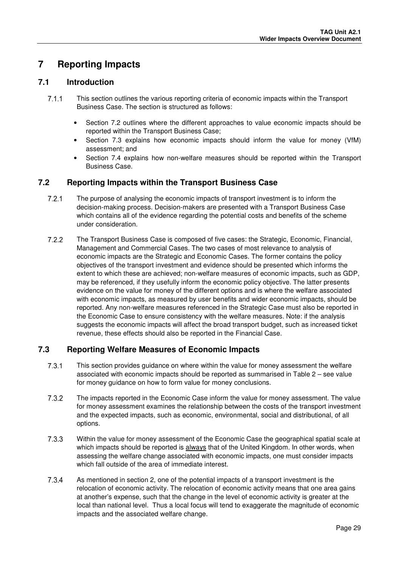### **7 Reporting Impacts**

#### **7.1 Introduction**

- This section outlines the various reporting criteria of economic impacts within the Transport Business Case. The section is structured as follows:
	- Section 7.2 outlines where the different approaches to value economic impacts should be reported within the Transport Business Case;
	- Section 7.3 explains how economic impacts should inform the value for money (VfM) assessment; and
	- Section 7.4 explains how non-welfare measures should be reported within the Transport Business Case.

#### **7.2 Reporting Impacts within the Transport Business Case**

- 7.2.1 The purpose of analysing the economic impacts of transport investment is to inform the decision-making process. Decision-makers are presented with a Transport Business Case which contains all of the evidence regarding the potential costs and benefits of the scheme under consideration.
- The Transport Business Case is composed of five cases: the Strategic, Economic, Financial, Management and Commercial Cases. The two cases of most relevance to analysis of economic impacts are the Strategic and Economic Cases. The former contains the policy objectives of the transport investment and evidence should be presented which informs the extent to which these are achieved; non-welfare measures of economic impacts, such as GDP, may be referenced, if they usefully inform the economic policy objective. The latter presents evidence on the value for money of the different options and is where the welfare associated with economic impacts, as measured by user benefits and wider economic impacts, should be reported. Any non-welfare measures referenced in the Strategic Case must also be reported in the Economic Case to ensure consistency with the welfare measures. Note: if the analysis suggests the economic impacts will affect the broad transport budget, such as increased ticket revenue, these effects should also be reported in the Financial Case.

### **7.3 Reporting Welfare Measures of Economic Impacts**

- This section provides guidance on where within the value for money assessment the welfare associated with economic impacts should be reported as summarised in Table 2 – see value for money guidance on how to form value for money conclusions.
- The impacts reported in the Economic Case inform the value for money assessment. The value for money assessment examines the relationship between the costs of the transport investment and the expected impacts, such as economic, environmental, social and distributional, of all options.
- 7.3.3 Within the value for money assessment of the Economic Case the geographical spatial scale at which impacts should be reported is always that of the United Kingdom. In other words, when assessing the welfare change associated with economic impacts, one must consider impacts which fall outside of the area of immediate interest.
- As mentioned in section 2, one of the potential impacts of a transport investment is the relocation of economic activity. The relocation of economic activity means that one area gains at another's expense, such that the change in the level of economic activity is greater at the local than national level. Thus a local focus will tend to exaggerate the magnitude of economic impacts and the associated welfare change.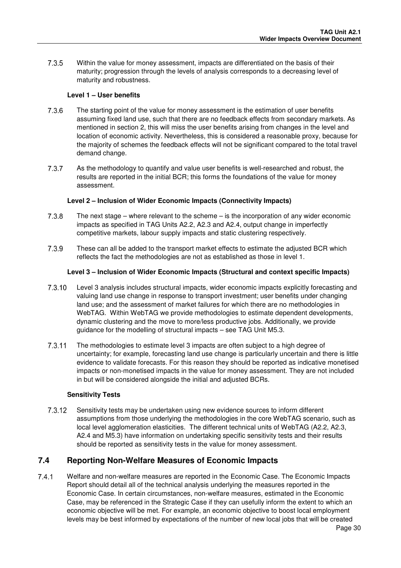7.3.5 Within the value for money assessment, impacts are differentiated on the basis of their maturity; progression through the levels of analysis corresponds to a decreasing level of maturity and robustness.

#### **Level 1 – User benefits**

- The starting point of the value for money assessment is the estimation of user benefits assuming fixed land use, such that there are no feedback effects from secondary markets. As mentioned in section 2, this will miss the user benefits arising from changes in the level and location of economic activity. Nevertheless, this is considered a reasonable proxy, because for the majority of schemes the feedback effects will not be significant compared to the total travel demand change.
- As the methodology to quantify and value user benefits is well-researched and robust, the results are reported in the initial BCR; this forms the foundations of the value for money assessment.

#### **Level 2 – Inclusion of Wider Economic Impacts (Connectivity Impacts)**

- The next stage where relevant to the scheme is the incorporation of any wider economic impacts as specified in TAG Units A2.2, A2.3 and A2.4, output change in imperfectly competitive markets, labour supply impacts and static clustering respectively.
- These can all be added to the transport market effects to estimate the adjusted BCR which reflects the fact the methodologies are not as established as those in level 1.

#### **Level 3 – Inclusion of Wider Economic Impacts (Structural and context specific Impacts)**

- 7.3.10 Level 3 analysis includes structural impacts, wider economic impacts explicitly forecasting and valuing land use change in response to transport investment; user benefits under changing land use; and the assessment of market failures for which there are no methodologies in WebTAG. Within WebTAG we provide methodologies to estimate dependent developments, dynamic clustering and the move to more/less productive jobs. Additionally, we provide guidance for the modelling of structural impacts – see TAG Unit M5.3.
- 7.3.11 The methodologies to estimate level 3 impacts are often subject to a high degree of uncertainty; for example, forecasting land use change is particularly uncertain and there is little evidence to validate forecasts. For this reason they should be reported as indicative monetised impacts or non-monetised impacts in the value for money assessment. They are not included in but will be considered alongside the initial and adjusted BCRs.

#### **Sensitivity Tests**

7.3.12 Sensitivity tests may be undertaken using new evidence sources to inform different assumptions from those underlying the methodologies in the core WebTAG scenario, such as local level agglomeration elasticities. The different technical units of WebTAG (A2.2, A2.3, A2.4 and M5.3) have information on undertaking specific sensitivity tests and their results should be reported as sensitivity tests in the value for money assessment.

#### **7.4 Reporting Non-Welfare Measures of Economic Impacts**

 Welfare and non-welfare measures are reported in the Economic Case. The Economic Impacts Report should detail all of the technical analysis underlying the measures reported in the Economic Case. In certain circumstances, non-welfare measures, estimated in the Economic Case, may be referenced in the Strategic Case if they can usefully inform the extent to which an economic objective will be met. For example, an economic objective to boost local employment levels may be best informed by expectations of the number of new local jobs that will be created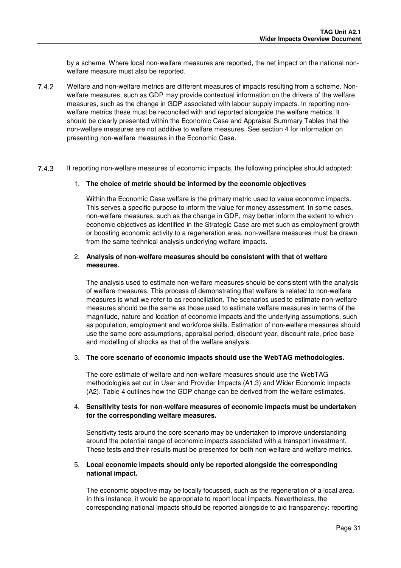by a scheme. Where local non-welfare measures are reported, the net impact on the national nonwelfare measure must also be reported.

- Welfare and non-welfare metrics are different measures of impacts resulting from a scheme. Nonwelfare measures, such as GDP may provide contextual information on the drivers of the welfare measures, such as the change in GDP associated with labour supply impacts. In reporting nonwelfare metrics these must be reconciled with and reported alongside the welfare metrics. It should be clearly presented within the Economic Case and Appraisal Summary Tables that the non-welfare measures are not additive to welfare measures. See section 4 for information on presenting non-welfare measures in the Economic Case.
- If reporting non-welfare measures of economic impacts, the following principles should adopted:

#### 1. **The choice of metric should be informed by the economic objectives**

Within the Economic Case welfare is the primary metric used to value economic impacts. This serves a specific purpose to inform the value for money assessment. In some cases, non-welfare measures, such as the change in GDP, may better inform the extent to which economic objectives as identified in the Strategic Case are met such as employment growth or boosting economic activity to a regeneration area, non-welfare measures must be drawn from the same technical analysis underlying welfare impacts.

#### 2. **Analysis of non-welfare measures should be consistent with that of welfare measures.**

The analysis used to estimate non-welfare measures should be consistent with the analysis of welfare measures. This process of demonstrating that welfare is related to non-welfare measures is what we refer to as reconciliation. The scenarios used to estimate non-welfare measures should be the same as those used to estimate welfare measures in terms of the magnitude, nature and location of economic impacts and the underlying assumptions, such as population, employment and workforce skills. Estimation of non-welfare measures should use the same core assumptions, appraisal period, discount year, discount rate, price base and modelling of shocks as that of the welfare analysis.

#### 3. **The core scenario of economic impacts should use the WebTAG methodologies.**

The core estimate of welfare and non-welfare measures should use the WebTAG methodologies set out in User and Provider Impacts (A1.3) and Wider Economic Impacts (A2). Table 4 outlines how the GDP change can be derived from the welfare estimates.

#### 4. **Sensitivity tests for non-welfare measures of economic impacts must be undertaken for the corresponding welfare measures.**

Sensitivity tests around the core scenario may be undertaken to improve understanding around the potential range of economic impacts associated with a transport investment. These tests and their results must be presented for both non-welfare and welfare metrics.

#### 5. **Local economic impacts should only be reported alongside the corresponding national impact.**

The economic objective may be locally focussed, such as the regeneration of a local area. In this instance, it would be appropriate to report local impacts. Nevertheless, the corresponding national impacts should be reported alongside to aid transparency: reporting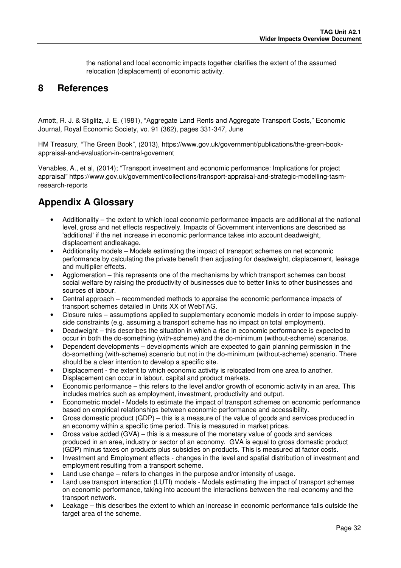the national and local economic impacts together clarifies the extent of the assumed relocation (displacement) of economic activity.

### **8 References**

Arnott, R. J. & Stiglitz, J. E. (1981), "Aggregate Land Rents and Aggregate Transport Costs," Economic Journal, Royal Economic Society, vo. 91 (362), pages 331-347, June

HM Treasury, "The Green Book", (2013), https://www.gov.uk/government/publications/the-green-bookappraisal-and-evaluation-in-central-governent

Venables, A., et al, (2014); "Transport investment and economic performance: Implications for project appraisal" https://www.gov.uk/government/collections/transport-appraisal-and-strategic-modelling-tasmresearch-reports

### **Appendix A Glossary**

- Additionality the extent to which local economic performance impacts are additional at the national level, gross and net effects respectively. Impacts of Government interventions are described as 'additional' if the net increase in economic performance takes into account deadweight, displacement andleakage.
- Additionality models Models estimating the impact of transport schemes on net economic performance by calculating the private benefit then adjusting for deadweight, displacement, leakage and multiplier effects.
- Agglomeration this represents one of the mechanisms by which transport schemes can boost social welfare by raising the productivity of businesses due to better links to other businesses and sources of labour.
- Central approach recommended methods to appraise the economic performance impacts of transport schemes detailed in Units XX of WebTAG.
- Closure rules assumptions applied to supplementary economic models in order to impose supplyside constraints (e.g. assuming a transport scheme has no impact on total employment).
- Deadweight this describes the situation in which a rise in economic performance is expected to occur in both the do-something (with-scheme) and the do-minimum (without-scheme) scenarios.
- Dependent developments developments which are expected to gain planning permission in the do-something (with-scheme) scenario but not in the do-minimum (without-scheme) scenario. There should be a clear intention to develop a specific site.
- Displacement the extent to which economic activity is relocated from one area to another. Displacement can occur in labour, capital and product markets.
- Economic performance this refers to the level and/or growth of economic activity in an area. This includes metrics such as employment, investment, productivity and output.
- Econometric model Models to estimate the impact of transport schemes on economic performance based on empirical relationships between economic performance and accessibility.
- Gross domestic product (GDP) this is a measure of the value of goods and services produced in an economy within a specific time period. This is measured in market prices.
- Gross value added  $(GVA)$  this is a measure of the monetary value of goods and services produced in an area, industry or sector of an economy. GVA is equal to gross domestic product (GDP) minus taxes on products plus subsidies on products. This is measured at factor costs.
- Investment and Employment effects changes in the level and spatial distribution of investment and employment resulting from a transport scheme.
- Land use change refers to changes in the purpose and/or intensity of usage.
- Land use transport interaction (LUTI) models Models estimating the impact of transport schemes on economic performance, taking into account the interactions between the real economy and the transport network.
- Leakage this describes the extent to which an increase in economic performance falls outside the target area of the scheme.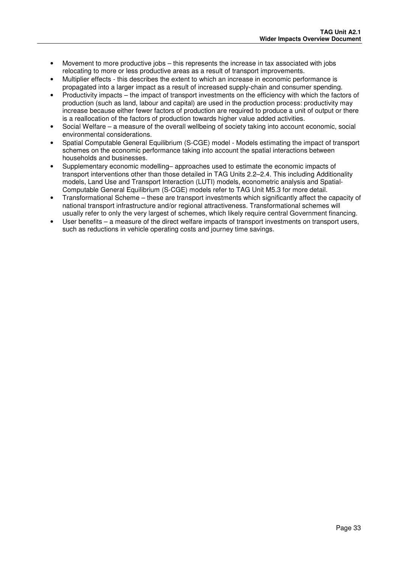- Movement to more productive jobs this represents the increase in tax associated with jobs relocating to more or less productive areas as a result of transport improvements.
- Multiplier effects this describes the extent to which an increase in economic performance is propagated into a larger impact as a result of increased supply-chain and consumer spending.
- Productivity impacts the impact of transport investments on the efficiency with which the factors of production (such as land, labour and capital) are used in the production process: productivity may increase because either fewer factors of production are required to produce a unit of output or there is a reallocation of the factors of production towards higher value added activities.
- Social Welfare a measure of the overall wellbeing of society taking into account economic, social environmental considerations.
- Spatial Computable General Equilibrium (S-CGE) model Models estimating the impact of transport schemes on the economic performance taking into account the spatial interactions between households and businesses.
- Supplementary economic modelling– approaches used to estimate the economic impacts of transport interventions other than those detailed in TAG Units 2.2–2.4. This including Additionality models, Land Use and Transport Interaction (LUTI) models, econometric analysis and Spatial-Computable General Equilibrium (S-CGE) models refer to TAG Unit M5.3 for more detail.
- Transformational Scheme these are transport investments which significantly affect the capacity of national transport infrastructure and/or regional attractiveness. Transformational schemes will usually refer to only the very largest of schemes, which likely require central Government financing.
- User benefits a measure of the direct welfare impacts of transport investments on transport users, such as reductions in vehicle operating costs and journey time savings.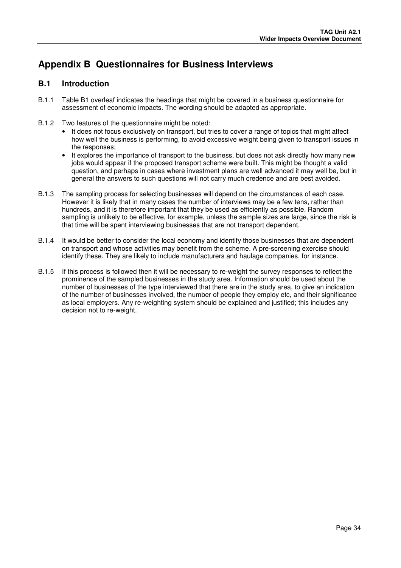### **Appendix B Questionnaires for Business Interviews**

#### **B.1 Introduction**

- B.1.1 Table B1 overleaf indicates the headings that might be covered in a business questionnaire for assessment of economic impacts. The wording should be adapted as appropriate.
- B.1.2 Two features of the questionnaire might be noted:
	- It does not focus exclusively on transport, but tries to cover a range of topics that might affect how well the business is performing, to avoid excessive weight being given to transport issues in the responses;
	- It explores the importance of transport to the business, but does not ask directly how many new jobs would appear if the proposed transport scheme were built. This might be thought a valid question, and perhaps in cases where investment plans are well advanced it may well be, but in general the answers to such questions will not carry much credence and are best avoided.
- B.1.3 The sampling process for selecting businesses will depend on the circumstances of each case. However it is likely that in many cases the number of interviews may be a few tens, rather than hundreds, and it is therefore important that they be used as efficiently as possible. Random sampling is unlikely to be effective, for example, unless the sample sizes are large, since the risk is that time will be spent interviewing businesses that are not transport dependent.
- B.1.4 It would be better to consider the local economy and identify those businesses that are dependent on transport and whose activities may benefit from the scheme. A pre-screening exercise should identify these. They are likely to include manufacturers and haulage companies, for instance.
- B.1.5 If this process is followed then it will be necessary to re-weight the survey responses to reflect the prominence of the sampled businesses in the study area. Information should be used about the number of businesses of the type interviewed that there are in the study area, to give an indication of the number of businesses involved, the number of people they employ etc, and their significance as local employers. Any re-weighting system should be explained and justified; this includes any decision not to re-weight.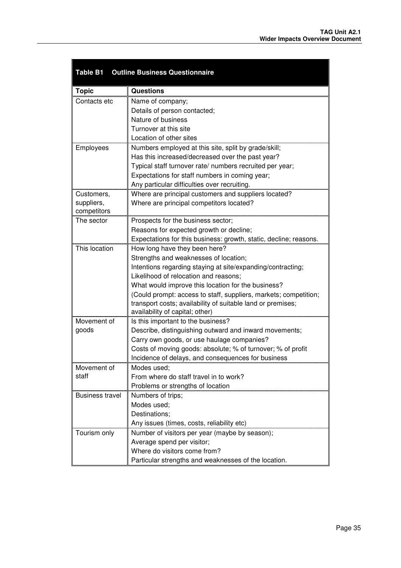| <b>Table B1</b>        | <b>Outline Business Questionnaire</b>                             |  |  |  |  |  |  |  |
|------------------------|-------------------------------------------------------------------|--|--|--|--|--|--|--|
| <b>Topic</b>           | <b>Questions</b>                                                  |  |  |  |  |  |  |  |
| Contacts etc           | Name of company;                                                  |  |  |  |  |  |  |  |
|                        | Details of person contacted;                                      |  |  |  |  |  |  |  |
|                        | Nature of business                                                |  |  |  |  |  |  |  |
|                        | Turnover at this site                                             |  |  |  |  |  |  |  |
|                        | Location of other sites                                           |  |  |  |  |  |  |  |
| Employees              | Numbers employed at this site, split by grade/skill;              |  |  |  |  |  |  |  |
|                        | Has this increased/decreased over the past year?                  |  |  |  |  |  |  |  |
|                        | Typical staff turnover rate/ numbers recruited per year;          |  |  |  |  |  |  |  |
|                        | Expectations for staff numbers in coming year;                    |  |  |  |  |  |  |  |
|                        | Any particular difficulties over recruiting.                      |  |  |  |  |  |  |  |
| Customers,             | Where are principal customers and suppliers located?              |  |  |  |  |  |  |  |
| suppliers,             | Where are principal competitors located?                          |  |  |  |  |  |  |  |
| competitors            |                                                                   |  |  |  |  |  |  |  |
| The sector             | Prospects for the business sector;                                |  |  |  |  |  |  |  |
|                        | Reasons for expected growth or decline;                           |  |  |  |  |  |  |  |
|                        | Expectations for this business: growth, static, decline; reasons. |  |  |  |  |  |  |  |
| This location          | How long have they been here?                                     |  |  |  |  |  |  |  |
|                        | Strengths and weaknesses of location;                             |  |  |  |  |  |  |  |
|                        | Intentions regarding staying at site/expanding/contracting;       |  |  |  |  |  |  |  |
|                        | Likelihood of relocation and reasons;                             |  |  |  |  |  |  |  |
|                        | What would improve this location for the business?                |  |  |  |  |  |  |  |
|                        | (Could prompt: access to staff, suppliers, markets; competition;  |  |  |  |  |  |  |  |
|                        | transport costs; availability of suitable land or premises;       |  |  |  |  |  |  |  |
|                        | availability of capital; other)                                   |  |  |  |  |  |  |  |
| Movement of            | Is this important to the business?                                |  |  |  |  |  |  |  |
| goods                  | Describe, distinguishing outward and inward movements;            |  |  |  |  |  |  |  |
|                        | Carry own goods, or use haulage companies?                        |  |  |  |  |  |  |  |
|                        | Costs of moving goods: absolute; % of turnover; % of profit       |  |  |  |  |  |  |  |
|                        | Incidence of delays, and consequences for business                |  |  |  |  |  |  |  |
| Movement of            | Modes used;                                                       |  |  |  |  |  |  |  |
| staff                  | From where do staff travel in to work?                            |  |  |  |  |  |  |  |
|                        | Problems or strengths of location                                 |  |  |  |  |  |  |  |
| <b>Business travel</b> | Numbers of trips;                                                 |  |  |  |  |  |  |  |
|                        | Modes used;                                                       |  |  |  |  |  |  |  |
|                        | Destinations;                                                     |  |  |  |  |  |  |  |
|                        | Any issues (times, costs, reliability etc)                        |  |  |  |  |  |  |  |
| Tourism only           | Number of visitors per year (maybe by season);                    |  |  |  |  |  |  |  |
|                        | Average spend per visitor;                                        |  |  |  |  |  |  |  |
|                        | Where do visitors come from?                                      |  |  |  |  |  |  |  |
|                        | Particular strengths and weaknesses of the location.              |  |  |  |  |  |  |  |

×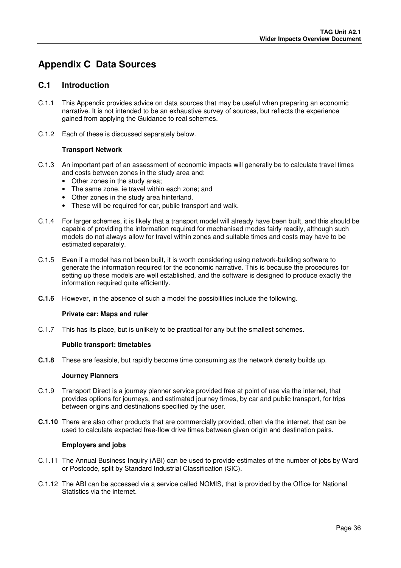## **Appendix C Data Sources**

#### **C.1 Introduction**

- C.1.1 This Appendix provides advice on data sources that may be useful when preparing an economic narrative. It is not intended to be an exhaustive survey of sources, but reflects the experience gained from applying the Guidance to real schemes.
- C.1.2 Each of these is discussed separately below.

#### **Transport Network**

- C.1.3 An important part of an assessment of economic impacts will generally be to calculate travel times and costs between zones in the study area and:
	- Other zones in the study area;
	- The same zone, ie travel within each zone; and
	- Other zones in the study area hinterland.
	- These will be required for car, public transport and walk.
- C.1.4 For larger schemes, it is likely that a transport model will already have been built, and this should be capable of providing the information required for mechanised modes fairly readily, although such models do not always allow for travel within zones and suitable times and costs may have to be estimated separately.
- C.1.5 Even if a model has not been built, it is worth considering using network-building software to generate the information required for the economic narrative. This is because the procedures for setting up these models are well established, and the software is designed to produce exactly the information required quite efficiently.
- **C.1.6** However, in the absence of such a model the possibilities include the following.

#### **Private car: Maps and ruler**

C.1.7 This has its place, but is unlikely to be practical for any but the smallest schemes.

#### **Public transport: timetables**

**C.1.8** These are feasible, but rapidly become time consuming as the network density builds up.

#### **Journey Planners**

- C.1.9 Transport Direct is a journey planner service provided free at point of use via the internet, that provides options for journeys, and estimated journey times, by car and public transport, for trips between origins and destinations specified by the user.
- **C.1.10** There are also other products that are commercially provided, often via the internet, that can be used to calculate expected free-flow drive times between given origin and destination pairs.

#### **Employers and jobs**

- C.1.11 The Annual Business Inquiry (ABI) can be used to provide estimates of the number of jobs by Ward or Postcode, split by Standard Industrial Classification (SIC).
- C.1.12 The ABI can be accessed via a service called NOMIS, that is provided by the Office for National Statistics via the internet.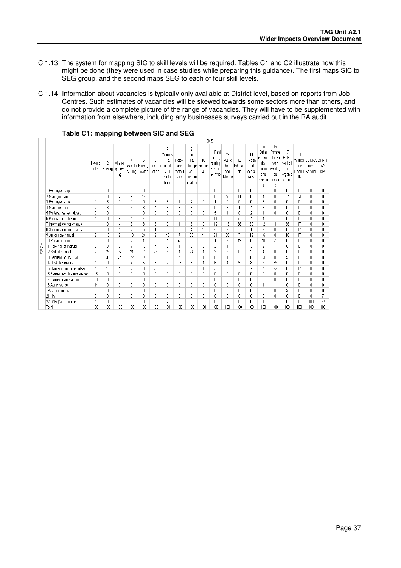- C.1.13 The system for mapping SIC to skill levels will be required. Tables C1 and C2 illustrate how this might be done (they were used in case studies while preparing this guidance). The first maps SIC to SEG group, and the second maps SEG to each of four skill levels.
- C.1.14 Information about vacancies is typically only available at District level, based on reports from Job Centres. Such estimates of vacancies will be skewed towards some sectors more than others, and do not provide a complete picture of the range of vacancies. They will have to be supplemented with information from elsewhere, including any businesses surveys carried out in the RA audit.

|   |                             |                  | SICS         |                               |                |                              |                       |                                                        |                                       |                                                                   |          |                                                          |                                          |                     |                                       |                                                                |                                                                |                                                      |                 |                                                    |                        |
|---|-----------------------------|------------------|--------------|-------------------------------|----------------|------------------------------|-----------------------|--------------------------------------------------------|---------------------------------------|-------------------------------------------------------------------|----------|----------------------------------------------------------|------------------------------------------|---------------------|---------------------------------------|----------------------------------------------------------------|----------------------------------------------------------------|------------------------------------------------------|-----------------|----------------------------------------------------|------------------------|
|   |                             | 1 Agric.<br>etc. | 2<br>Fishing | 3<br>Mining,<br>quarryi<br>ng | cturing        | 5<br>Manufa Energy,<br>water | 6<br>Constru<br>ction | 7<br>Wholes<br>ale.<br>retail<br>and<br>motor<br>trade | 8<br>Hotels<br>and<br>restaur<br>ants | 9<br>Transp<br>ort.<br>storage Financ<br>and<br>commu<br>nication | 10<br>al | 11 Real<br>estate<br>renting<br>& bus.<br>activitie<br>s | 12<br>Public<br>admin.<br>and<br>defence | 13<br>Educati<br>0n | 14<br>Health<br>and<br>social<br>work | 15<br>Other<br>commu<br>nity,<br>social<br>and<br>person<br>al | 16<br>Private<br>hholds<br>with<br>employ<br>ed<br>person<br>s | 17<br>Extra-<br>territori<br>al<br>organis<br>ations | 18<br>ace<br>UK | Workpl 20 DNA 21 Pre-<br>(never<br>outside worked) | Q <sub>2</sub><br>1995 |
|   | 1 Employer: large           | $\mathbf{0}$     | 0            | Ū.                            | 0              | 0                            | 0                     | 0                                                      | 0                                     | 0                                                                 | 0        | 0                                                        | 0                                        | 0                   | 0                                     | Л                                                              | $\mathsf{D}$                                                   | 0                                                    | 0               | 0                                                  | 0                      |
|   | 2 Manager: large            | $\mathbf 0$      | 0            |                               | 9              | 14                           | 5                     | 6                                                      | 5                                     | 8                                                                 | 16       | 8                                                        | 15                                       | 11                  | 8                                     | 4                                                              | $\mathsf{D}$                                                   | 27                                                   | 33              | 0                                                  | 0                      |
|   | 3 Employer: small           |                  | 3            | 2                             |                | U.                           | 5                     | 5                                                      | 7                                     | 2                                                                 | Ō        |                                                          | 0                                        | $\Omega$            | U                                     | 3                                                              | $\bigcap$                                                      | 0                                                    | $\mathsf{r}$    | 0                                                  | ſ                      |
|   | 4 Manager: small            | $\overline{2}$   | 3            |                               |                | 3                            | 4                     | 8                                                      | 6                                     | 5                                                                 | 10       | 9                                                        | 3                                        |                     | 4                                     | ĥ                                                              | $\Omega$                                                       | 0                                                    | n               | 0                                                  | Ū                      |
|   | 5 Profess.: self-employed   | 0                | 0            |                               |                | O                            | 0                     | 0                                                      | 0                                     | 0                                                                 | O        | 5                                                        |                                          | $\Omega$            | 2                                     |                                                                | $\Omega$                                                       | $\mathbf{0}$                                         | 0               | 0                                                  | O                      |
|   | 6 Profess.: employee        | -4               | n            |                               | 5              | 7                            | 5                     | f)                                                     | 0                                     | $\overline{2}$                                                    | 5        | 11                                                       | 5                                        | 5                   | 4                                     | Δ                                                              |                                                                | 0                                                    | $\mathsf{n}$    | 0                                                  | 0                      |
|   | 7 Intermediate non-manual   | -1               | n            |                               | 6              | 8                            | 3                     | $\overline{2}$                                         | 1                                     | 3                                                                 | 9        | 12                                                       | 13                                       | 38                  | 30                                    | 12                                                             | 4                                                              | 36                                                   | 17              | 0                                                  | 0                      |
|   | 8 Supervisor of non-manual  | $\mathbf{0}$     | n            |                               | $\overline{2}$ | 5                            | $\ddot{\phantom{0}}$  | 6                                                      | 0                                     | 4                                                                 | 10       | 5                                                        | 9                                        |                     | 1                                     | $\overline{2}$                                                 | f)                                                             | 0                                                    | 17              | 0                                                  | n                      |
|   | 9 Junior non-manual         | 6                | 13           | 6                             | 13             | 24                           | 9                     | 45                                                     | $\overline{7}$                        | 20                                                                | 44       | 24                                                       | 35                                       | $\overline{7}$      | 12                                    | 16                                                             | $\mathsf{D}$                                                   | 18                                                   | 17              | 0                                                  | O                      |
|   | 10 Personal service         | $\mathsf{D}$     | $\mathsf{r}$ | 3                             | $\overline{2}$ |                              | 0                     |                                                        | 46                                    | $\overline{2}$                                                    | Ū        |                                                          | $\overline{2}$                           | 19                  | 6                                     | 16                                                             | 23                                                             | 0                                                    | $\mathsf{r}$    | Ū                                                  | ſ                      |
| ő | 11 Foreman of manual        | 3                | 3            | 8                             | $\overline{7}$ | 13                           | 7                     | $\overline{2}$                                         | 4                                     | ĥ                                                                 | Ū        | 2                                                        |                                          |                     | 3                                     | 2                                                              |                                                                | f)                                                   | $\mathbf{0}$    | Ū.                                                 | Ū                      |
| 핆 | 12 Skilled manual           | $\overline{2}$   | 28           | 32                            | 21             | 11                           | 23                    | 8                                                      | 1                                     | 24                                                                | 1        | 3                                                        | $\overline{2}$                           | $\Omega$            | $\overline{2}$                        | 4                                                              | $\Omega$                                                       | 0                                                    | $\mathbf{0}$    | 0                                                  | O                      |
|   | 13 Semiskilled manual       | 8                | 31           | 24                            | 22             | 9                            | 6                     | 5                                                      | 4                                     | 13                                                                |          | 6                                                        | 4                                        | $\overline{2}$      | 18                                    | 13                                                             | 8                                                              | 9                                                    | 0               | 0                                                  | 0                      |
|   | 14 Unskilled manual         | $\overline{1}$   | 0            | З                             | 4              | 5                            | 8                     | $\overline{2}$                                         | 15                                    | 5                                                                 | 1        | 6                                                        | 4                                        | 9                   | 8                                     | 9                                                              | 39                                                             | 0                                                    | 0               | 0                                                  | 0                      |
|   | 15 Own account non-profess. | 5                | 19           |                               | $\overline{2}$ | 0                            | 23                    | 6                                                      | 5                                     | 7                                                                 | 1        | 5                                                        | 0                                        |                     | $\overline{2}$                        | 7                                                              | 22                                                             | 0                                                    | 17              | 0                                                  | 0                      |
|   | 16 Farmer: employer/manager | 13               | $\mathsf{r}$ | O.                            | 0              | Ū.                           | 0                     | f)                                                     | 0                                     | $\mathbf{0}$                                                      | 0        | n                                                        | 0                                        | $\Omega$            | 0                                     | Л                                                              | $\Omega$                                                       | 0                                                    | $\mathsf{r}$    | 0                                                  | n                      |
|   | 17 Farmer: own account      | 13               | $\mathsf{r}$ | Ū                             | 0              | O                            | 0                     | f)                                                     | 0                                     | 0                                                                 | Ū        | $\mathsf{r}$                                             | 0                                        | 0                   | 0                                     | $\overline{\Pi}$                                               | $\Omega$                                                       | 0                                                    | $\mathsf{r}$    | 0                                                  | 0                      |
|   | 18 Agric. worker            | 44               | $\mathsf{r}$ | Ω                             | f)             | U.                           | 0                     | $\Omega$                                               | 0                                     | 0                                                                 | Ū        | $\mathsf{r}$                                             | 0                                        | $\Omega$            | 0                                     |                                                                | 1                                                              | 0                                                    | n               | 0                                                  | ſ                      |
|   | 19 Armed forces             | $\mathbf{0}$     | O            | Ū                             | 0              | Ū.                           | Ū.                    | 0                                                      | 0                                     | $\mathbf{0}$                                                      | $\Omega$ | O                                                        | 6                                        | $\Omega$            | O                                     | $\Omega$                                                       | $\Omega$                                                       | 9                                                    | $\mathbf{0}$    | 0                                                  | O                      |
|   | 21 NA                       | $\mathbf 0$      | 0            | Ū                             | 0              | 0                            | 0                     | 0                                                      | 0                                     | 0                                                                 | O        | 0                                                        | 0                                        | 0                   | 0                                     | 0                                                              | 0                                                              | 0                                                    | 0               | 0                                                  | $\overline{7}$         |
|   | 22 DNA (Never worked)       | -4               | n            | n.                            | 0              | 0                            | 0                     | 2                                                      | 3                                     | 0                                                                 | 0        | 0                                                        | 0                                        | 0                   | 0                                     |                                                                |                                                                | 0                                                    | 0               | 100                                                | 92                     |
|   | Total                       | 100              | 100          | 100                           | 100            | 100                          | 100                   | 100                                                    | 100                                   | 100                                                               | 100      | 100                                                      | 100                                      | 100                 | 100                                   | 100                                                            | 100                                                            | 100                                                  | 100             | 100                                                | 100                    |

#### **Table C1: mapping between SIC and SEG**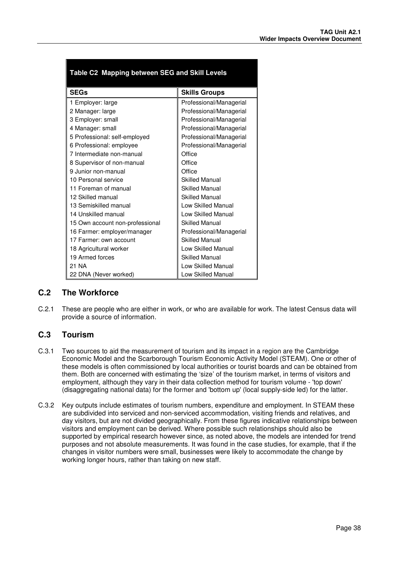| Table C2 Mapping between SEG and Skill Levels |                           |  |  |  |  |  |
|-----------------------------------------------|---------------------------|--|--|--|--|--|
| <b>SEGs</b>                                   | <b>Skills Groups</b>      |  |  |  |  |  |
| 1 Employer: large                             | Professional/Managerial   |  |  |  |  |  |
| 2 Manager: large                              | Professional/Managerial   |  |  |  |  |  |
| 3 Employer: small                             | Professional/Managerial   |  |  |  |  |  |
| 4 Manager: small                              | Professional/Managerial   |  |  |  |  |  |
| 5 Professional: self-employed                 | Professional/Managerial   |  |  |  |  |  |
| 6 Professional: employee                      | Professional/Managerial   |  |  |  |  |  |
| 7 Intermediate non-manual                     | Office                    |  |  |  |  |  |
| 8 Supervisor of non-manual                    | Office                    |  |  |  |  |  |
| 9 Junior non-manual                           | Office                    |  |  |  |  |  |
| 10 Personal service                           | <b>Skilled Manual</b>     |  |  |  |  |  |
| 11 Foreman of manual                          | <b>Skilled Manual</b>     |  |  |  |  |  |
| 12 Skilled manual                             | <b>Skilled Manual</b>     |  |  |  |  |  |
| 13 Semiskilled manual                         | <b>Low Skilled Manual</b> |  |  |  |  |  |
| 14 Unskilled manual                           | Low Skilled Manual        |  |  |  |  |  |
| 15 Own account non-professional               | <b>Skilled Manual</b>     |  |  |  |  |  |
| 16 Farmer: employer/manager                   | Professional/Managerial   |  |  |  |  |  |
| 17 Farmer: own account                        | <b>Skilled Manual</b>     |  |  |  |  |  |
| 18 Agricultural worker                        | Low Skilled Manual        |  |  |  |  |  |
| 19 Armed forces                               | <b>Skilled Manual</b>     |  |  |  |  |  |
| 21 NA                                         | <b>Low Skilled Manual</b> |  |  |  |  |  |
| 22 DNA (Never worked)                         | Low Skilled Manual        |  |  |  |  |  |

### **C.2 The Workforce**

C.2.1 These are people who are either in work, or who are available for work. The latest Census data will provide a source of information.

#### **C.3 Tourism**

- C.3.1 Two sources to aid the measurement of tourism and its impact in a region are the Cambridge Economic Model and the Scarborough Tourism Economic Activity Model (STEAM). One or other of these models is often commissioned by local authorities or tourist boards and can be obtained from them. Both are concerned with estimating the 'size' of the tourism market, in terms of visitors and employment, although they vary in their data collection method for tourism volume - 'top down' (disaggregating national data) for the former and 'bottom up' (local supply-side led) for the latter.
- C.3.2 Key outputs include estimates of tourism numbers, expenditure and employment. In STEAM these are subdivided into serviced and non-serviced accommodation, visiting friends and relatives, and day visitors, but are not divided geographically. From these figures indicative relationships between visitors and employment can be derived. Where possible such relationships should also be supported by empirical research however since, as noted above, the models are intended for trend purposes and not absolute measurements. It was found in the case studies, for example, that if the changes in visitor numbers were small, businesses were likely to accommodate the change by working longer hours, rather than taking on new staff.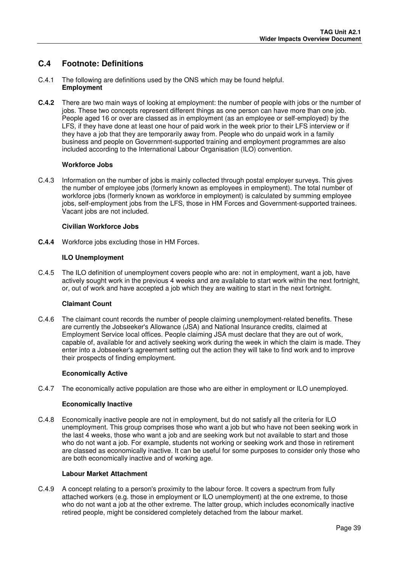### **C.4 Footnote: Definitions**

- C.4.1 The following are definitions used by the ONS which may be found helpful. **Employment**
- **C.4.2** There are two main ways of looking at employment: the number of people with jobs or the number of jobs. These two concepts represent different things as one person can have more than one job. People aged 16 or over are classed as in employment (as an employee or self-employed) by the LFS, if they have done at least one hour of paid work in the week prior to their LFS interview or if they have a job that they are temporarily away from. People who do unpaid work in a family business and people on Government-supported training and employment programmes are also included according to the International Labour Organisation (ILO) convention.

#### **Workforce Jobs**

C.4.3 Information on the number of jobs is mainly collected through postal employer surveys. This gives the number of employee jobs (formerly known as employees in employment). The total number of workforce jobs (formerly known as workforce in employment) is calculated by summing employee jobs, self-employment jobs from the LFS, those in HM Forces and Government-supported trainees. Vacant jobs are not included.

#### **Civilian Workforce Jobs**

**C.4.4** Workforce jobs excluding those in HM Forces.

#### **ILO Unemployment**

C.4.5 The ILO definition of unemployment covers people who are: not in employment, want a job, have actively sought work in the previous 4 weeks and are available to start work within the next fortnight, or, out of work and have accepted a job which they are waiting to start in the next fortnight.

#### **Claimant Count**

C.4.6 The claimant count records the number of people claiming unemployment-related benefits. These are currently the Jobseeker's Allowance (JSA) and National Insurance credits, claimed at Employment Service local offices. People claiming JSA must declare that they are out of work, capable of, available for and actively seeking work during the week in which the claim is made. They enter into a Jobseeker's agreement setting out the action they will take to find work and to improve their prospects of finding employment.

#### **Economically Active**

C.4.7 The economically active population are those who are either in employment or ILO unemployed.

#### **Economically Inactive**

C.4.8 Economically inactive people are not in employment, but do not satisfy all the criteria for ILO unemployment. This group comprises those who want a job but who have not been seeking work in the last 4 weeks, those who want a job and are seeking work but not available to start and those who do not want a job. For example, students not working or seeking work and those in retirement are classed as economically inactive. It can be useful for some purposes to consider only those who are both economically inactive and of working age.

#### **Labour Market Attachment**

C.4.9 A concept relating to a person's proximity to the labour force. It covers a spectrum from fully attached workers (e.g. those in employment or ILO unemployment) at the one extreme, to those who do not want a job at the other extreme. The latter group, which includes economically inactive retired people, might be considered completely detached from the labour market.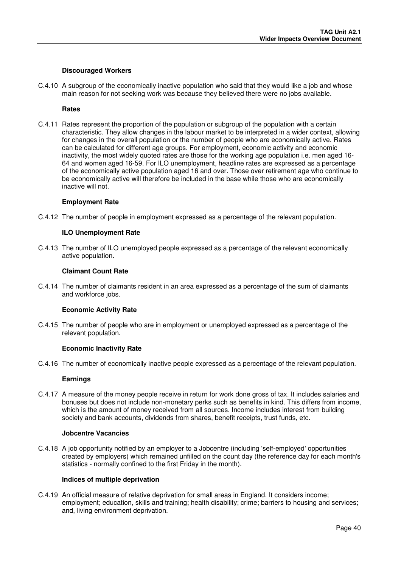#### **Discouraged Workers**

C.4.10 A subgroup of the economically inactive population who said that they would like a job and whose main reason for not seeking work was because they believed there were no jobs available.

#### **Rates**

C.4.11 Rates represent the proportion of the population or subgroup of the population with a certain characteristic. They allow changes in the labour market to be interpreted in a wider context, allowing for changes in the overall population or the number of people who are economically active. Rates can be calculated for different age groups. For employment, economic activity and economic inactivity, the most widely quoted rates are those for the working age population i.e. men aged 16- 64 and women aged 16-59. For ILO unemployment, headline rates are expressed as a percentage of the economically active population aged 16 and over. Those over retirement age who continue to be economically active will therefore be included in the base while those who are economically inactive will not.

#### **Employment Rate**

C.4.12 The number of people in employment expressed as a percentage of the relevant population.

#### **ILO Unemployment Rate**

C.4.13 The number of ILO unemployed people expressed as a percentage of the relevant economically active population.

#### **Claimant Count Rate**

C.4.14 The number of claimants resident in an area expressed as a percentage of the sum of claimants and workforce jobs.

#### **Economic Activity Rate**

C.4.15 The number of people who are in employment or unemployed expressed as a percentage of the relevant population.

#### **Economic Inactivity Rate**

C.4.16 The number of economically inactive people expressed as a percentage of the relevant population.

#### **Earnings**

C.4.17 A measure of the money people receive in return for work done gross of tax. It includes salaries and bonuses but does not include non-monetary perks such as benefits in kind. This differs from income, which is the amount of money received from all sources. Income includes interest from building society and bank accounts, dividends from shares, benefit receipts, trust funds, etc.

#### **Jobcentre Vacancies**

C.4.18 A job opportunity notified by an employer to a Jobcentre (including 'self-employed' opportunities created by employers) which remained unfilled on the count day (the reference day for each month's statistics - normally confined to the first Friday in the month).

#### **Indices of multiple deprivation**

C.4.19 An official measure of relative deprivation for small areas in England. It considers income; employment; education, skills and training; health disability; crime; barriers to housing and services; and, living environment deprivation.